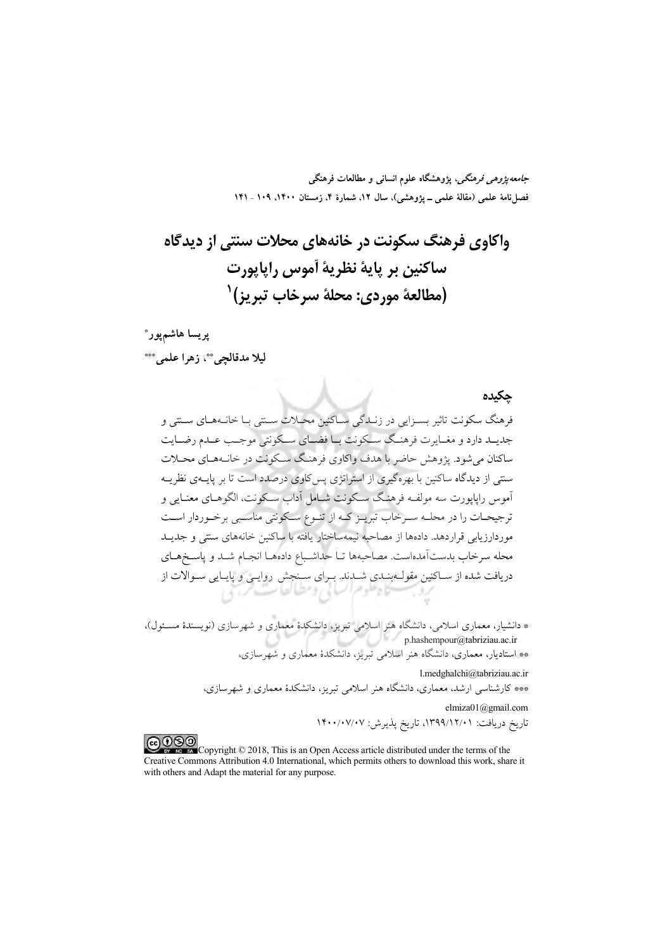*جامعه پژوهی فرهنگی*، پژوهشگاه علوم انسانی و مطالعات فرهنگی فصل نامهٔ علمی (مقالهٔ علمی ــ یژوهشی)، سال ۱۲، شمارهٔ ۴، زمستان ۱۴۰۰. ۱۰۹ ـ ۱۴۱

پريسا ھاشمپور\*

ليلا مدقالجي"، زهرا علمي"\*\*

حكىدە

فرهنگ سکونت تاثیر بسیزایی در زنیدگی سیاکنین محیلات سینتی بیا خانیههیای سینتی و جدیــد دارد و مغــایرت فرهنــگ ســکونت بــا فضــای ســکونتی موجــب عــدم رضــایت ساکنان می شود. پژوهش حاضر با هدف واکاوی فرهنگ سکونت در خانـههـای محــلات سنتم از دیدگاه ساکنین با بهرهگیری از استراتژی پس کاوی درصدد است تا بر پایــهی نظریــه .<br>آموس رايايورت سه مولفـه فرهنـگ سـكونت شـامل آداب سـكونت، الگوهــاي معنــايي و ترجیحـات را در محلــه ســرخاب تبریــز کــه از تنــوع ســکونتی مناســبی برخــوردار اســت موردارزیابی قراردهد. دادهها از مصاحبه نیمهساختار یافته با ساکنین خانههای سنتی و جدیــد محله سرخاب بدستآمدهاست. مصاحبهها تــا حداشـباع دادههــا انجــام شــد و ياســخهــاي دریافت شده از ســاکنین مقولــهبنــدی شــدند. بــرای ســنجش روایــی و پایــایی ســوالات از<br>.

\* دانشیار، معماری اسلامی، دانشگاه هنر اسلامی تبریز، دانشکدهٔ معماری و شهرسازی (نویسندهٔ مسـئول)،<br>p.hashempour@tabriziau.ac.ir p.hashempour@tabriziau.ac.ir<br>\*\* استادیار، معماری، دانشگاه هنر اسلامی تبریز، دانشکدهٔ معماری و شهرسازی،

> l.medghalchi@tabriziau.ac.ir \*\*\* کارشناسی ارشد، معماری، دانشگاه هنر اسلامی تبریز، دانشکدهٔ معماری و شهرسازی،

> > elmiza01@gmail.com تاريخ دريافت: ١٣٩٩/١٢/١)، تاريخ پذيرش: ١۴٠٠/٠٧/٠٧

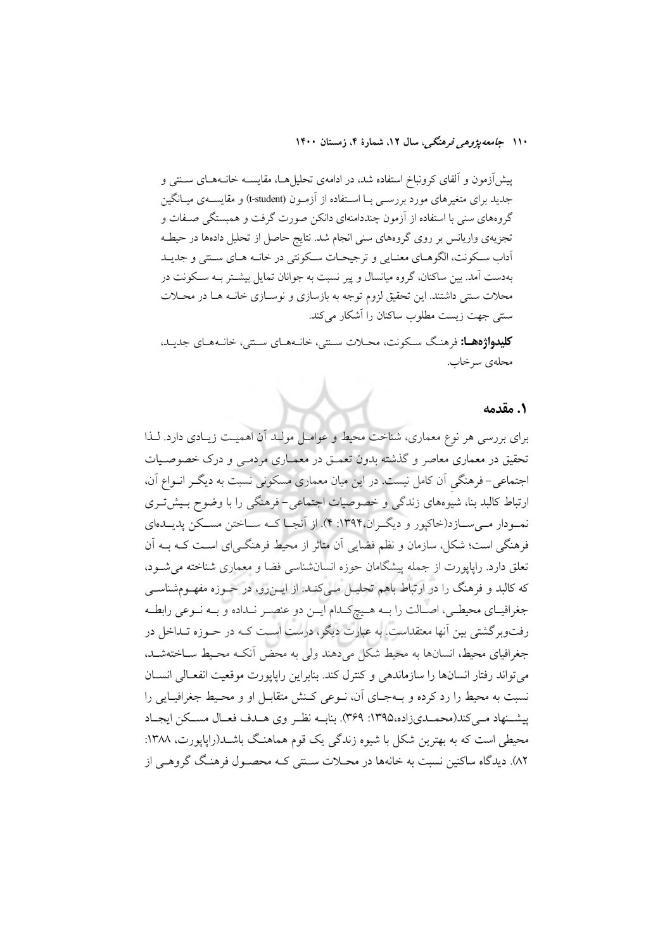پیشآزمون و آلفای کرونباخ استفاده شد، در ادامهی تحلیلها، مقایسـه خانـههـای سـنتی و جدید برای متغیرهای مورد بررسـی بـا اسـتفاده از آزمـون (t-student) و مقایســهی میــانگین گروههای سنی با استفاده از آزمون چنددامنهای دانکن صورت گرفت و همبستگی صـفات و تجزیهی واریانس بر روی گروههای سنی انجام شد. نتایج حاصل از تحلیل دادهها در حیطـه أداب سكونت، الگوهـاي معنـايي و ترجيحـات سـكونتي در خانـه هـاي سـنتي و جديـد بهدست آمد. بین ساکنان، گروه میانسال و پیر نسبت به جوانان تمایل بیشــتر بــه ســکونت در محلات سنتی داشتند. این تحقیق لزوم توجه به بازسازی و نوسـازی خانــه هــا در محــلات سنتی جهت زیست مطلوب ساکنان را آشکار می کند.

كليدواژهها: فرهنگ سكونت، محلات ستتي، خانـههـاي سـتتي، خانـههـاي جديـد، محلەي سرخاب.

#### ١. مقدمه

برای بررسی هر نوع معماری، شناخت محیط و عوامـل مولـد آن اهمیـت زیـادی دارد. لـذا تحقیق در معماری معاصر و گذشته بدون تعمـق در معمـاری مردمـی و درک خصوصـیات اجتماعی- فرهنگی آن کامل نیست. در این میان معماری مسکونی نسبت به دیگر انـواع آن، ارتباط کالبد بنا، شیوههای زندگی و خصوصیات اجتماعی-فرهنگی را با وضوح بـیش تـری نمــودار مــي ســازد(خاکيور و ديگــران،۱۳۹۴: ۴). از آنجــا کــه ســاختن مســکن يديــدهاي فرهنگی است؛ شکل، سازمان و نظم فضایی آن متاثر از محیط فرهنگے ای اسـت کــه بــه آن تعلق دارد. راپایورت از جمله پیشگامان جوزه انسان شناسی فضا و معماری شناخته می شـود، که کالبد و فرهنگ را در ارتباط باهم تحلیـل مـیکنـد. از ایــن٫رو، در حــوزه مفهــومشناســی جغرافیـای محیطـی، اصـالت را بـه هـیچکـدام ایـن دو عنصـر نـداده و بـه نـوعی رابطـه رفتوبرگشتی بین آنها معتقداست. به عبارت دیگر، درست اسـت کـه در حــوزه تــداخل در جغرافیای محیط، انسانها به محیط شکل میدهند ولی به محض آنکـه محـیط سـاختهشـد. مى تواند رفتار انسانها را سازماندهى وكنترل كند. بنابراين رايايورت موقعيت انفعـالى انســان نسبت به محیط را رد کرده و بـهجـای آن، نـوعی کـنش متقابـل او و محـیط جغرافیـایی را پیشـنهاد مـی کند(محمـدیزاده،۱۳۹۵: ۳۶۹). بنایــه نظـر وی هــدف فعــال مســکن ایجــاد محیطی است که به بهترین شکل با شیوه زندگی یک قوم هماهنگ باشـلـ(راپاپورت، ۱۳۸۸: ٨٢). ديدگاه ساکنين نسبت به خانهها در محــلات ســـتي کــه محصــول فرهنـگ گروهــي از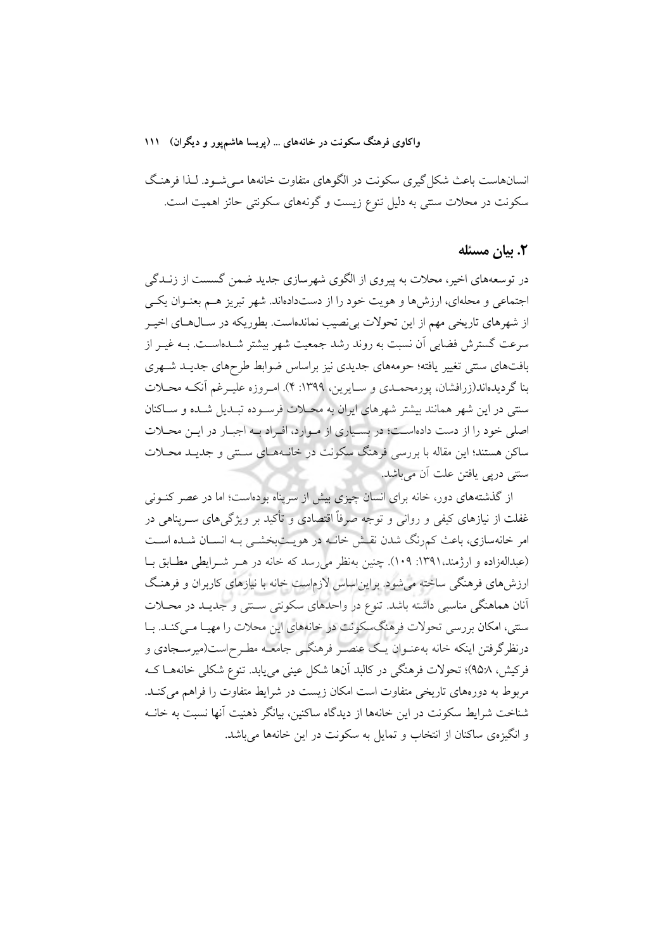#### واکاوی فرهنگ سکونت در خانههای ... (پریسا هاشم یور و دیگران) ۱۱۱

انسانهاست باعث شکل گیری سکونت در الگوهای متفاوت خانهها مـی شـود. لـذا فرهنـگ سکونت در محلات سنتی به دلیل تنوع زیست و گونههای سکونتی حائز اهمیت است.

#### ٢. بيان مسئله

در توسعههای اخیر، محلات به پیروی از الگوی شهرسازی جدید ضمن گسست از زنـدگی اجتماعی و محلهای، ارزشها و هویت خود را از دستدادهاند. شهر تبریز هـم بعنـوان یکـی از شهرهای تاریخی مهم از این تحولات بی نصیب نماندهاست. بطوریکه در سـالهـای اخیـر سرعت گسترش فضایی آن نسبت به روند رشد جمعیت شهر بیشتر شـدهاسـت. بــه غیــر از بافتهای سنتی تغییر یافته؛ حومههای جدیدی نیز براساس ضوابط طرحهای جدیـد شـهری بنا گردیدهاند(زرافشان، پورمحمـدي و سـايرين، ١٣٩٩: ۴). امـروزه عليـرغم أنكـه محـلات سنتی در این شهر همانند بیشتر شهرهای ایران به محـلات فرسـوده تبـدیل شـده و سـاکنان اصلی خود را از دست دادهاست؛ در بسیاری از مـوارد، افـراد بـه اجبـار در ایـن محـلات ساکن هستند؛ این مقاله با بررسی فرهنگ سکونت در خانـههـای سـنتی و جدیـد محـلات سنتي دريي يافتن علت اَن مي باشد.

از گذشتههای دور، خانه برای انسان چیزی بیش از سرپناه بودهاست؛ اما در عصر کنونی غفلت از نیازهای کیفی و روانی و توجه صرفاً اقتصادی و تأکید بر ویژگیهای ســرپناهی در امر خانهسازی، باعث کمرنگ شدن نقش خانـه در هویـتبخشـی بـه انسـان شـده اسـت (عبدالهزاده و ارژمند،۱۳۹۱: ۱۰۹). چنین بهنظر می رسد که خانه در هـر شـرایطی مطـابق بـا ارزش،های فرهنگی ساخته می شود. براین اساس لازماست خانه با نیازهای کاربران و فرهنگ آنان هماهنگی مناسبی داشته باشد. تنوع در واحدهای سکونتی سـنتی و جدیـد در محـلات سنتی، امکان بررسی تحولات فرهنگسکونت در خانههای این محلات را مهیـا مـی کنـد. بـا درنظرگرفتن اینکه خانه بهعنـوان یـک عنصـر فرهنگـی جامعـه مطـرح|ست(میرسـجادی و فرکیش، ۹۵:۸)؛ تحولات فرهنگی در کالبد آنها شکل عینی می یابد. تنوع شکلی خانههـا کـه مربوط به دورههای تاریخی متفاوت است امکان زیست در شرایط متفاوت را فراهم میکند. شناخت شرایط سکونت در این خانهها از دیدگاه ساکنین، بیانگر ذهنیت آنها نسبت به خانــه و انگیزهی ساکنان از انتخاب و تمایل به سکونت در این خانهها می باشد.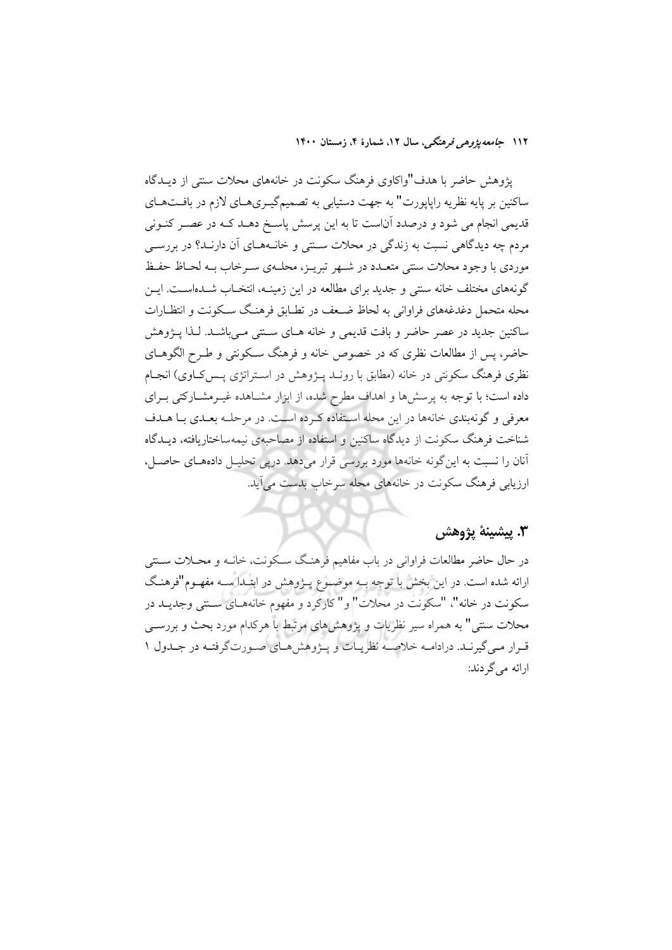پژوهش حاضر با هدف"واکاوی فرهنگ سکونت در خانههای محلات سنتی از دیـدگاه ساکنین بر پایه نظریه رایاپورت" به جهت دستیابی به تصمیمگیـری۵حای لازم در بافـتهـای قدیمی انجام می شود و درصدد آناست تا به این پرسش پاسـخ دهـد کـه در عصـر کنــونی مردم چه دیدگاهی نسبت به زندگی در محلات سـنتی و خانـههـای آن دارنـد؟ در بررسـی موردي با وجود محلات سنتي متعـدد در شـهر تبريـز، محلـهي سـرخاب بـه لحـاظ حفـظ گونههای مختلف خانه سنتی و جدید برای مطالعه در این زمینــه، انتخــاب شــدهاســت. ایــن محله متحمل دغدغههای فراوانی به لحاظ ضـعف در تطـابق فرهنـگ سـكونت و انتظـارات ساکنین جدید در عصر حاضر و بافت قدیمی و خانه هـای سـنتی مـی باشـد. لـذا پــژوهش حاضر، پس از مطالعات نظری که در خصوص خانه و فرهنگ سـکونتی و طـرح الگوهــای نظری فرهنگ سکونتی در خانه (مطابق با رونــد پــژوهش در اســتراتژی پــس2حاوی) انجـام داده است؛ با توجه به پرسشها و اهداف مطرح شده، از ابزار مشــاهده غیــرمشــارکتی بــرای معرفی و گونهبندی خانهها در این محله استفاده کرده است. در مرحلـه بعـدی بـا هـدف شناخت فرهنگ سکونت از دیدگاه ساکنین و استفاده از مصاحبهی نیمهساختاریافته، دیــدگاه آنان را نسبت به این گونه خانهها مورد بررسی قرار میدهد. درپی تحلیـل دادههـای حاصـل، ارزیابی فرهنگ سکونت در خانههای محله سرخاب بدست می آید.

## ٣. پيشينۀ پژوهش

در حال حاضر مطالعات فراواني در باب مفاهيم فرهنگ سـكونت، خانــه و محــلات ســنتي ارائه شده است. در این بخش با توجه بــه موضــوع پــژوهش در ابتــدا ســه مفهــوم"فرهنـگ سکونت در خانه"، "سکونت در محلات" و" کارکرد و مفهوم خانههـای ســتـی وجدیــد در محلات سنتی" به همراه سیر نظریات و پژوهشهای مرتبط با هرکدام مورد بحث و بررســی قرار مـي گيرنـد. درادامـه خلاصـه نظريـات و پـژوهش هـاي صـورتگرفتـه در جـدول ١ ارائه مي گردند: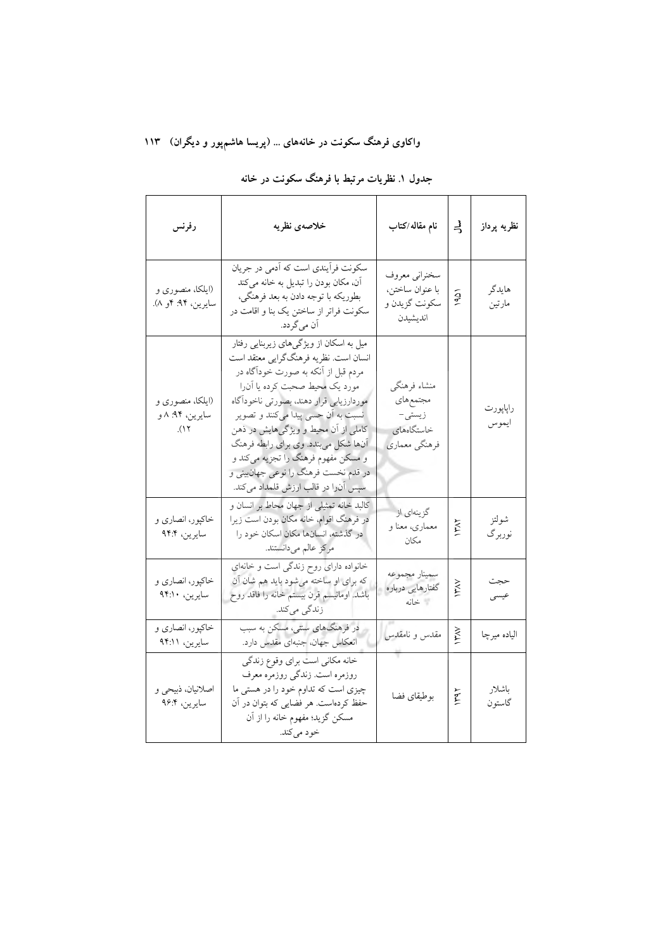# واکاوی فرهنگ سکونت در خانههای … (پریسا هاشمٖپور و دیگران) ۱۱۳

| رفرنس                                       | خلاصهى نظريه                                                                                                                                                                                                                                                                                                                                                                                                                                     | نام مقاله/كتاب                                                    | 늭              | نظريه پرداز       |
|---------------------------------------------|--------------------------------------------------------------------------------------------------------------------------------------------------------------------------------------------------------------------------------------------------------------------------------------------------------------------------------------------------------------------------------------------------------------------------------------------------|-------------------------------------------------------------------|----------------|-------------------|
| (ایلکا، منصوری و<br>سايرين، ۹۴: ۴و ۸).      | سکونت فرآیندی است که آدمی در جریان<br>آن، مکان بودن را تبدیل به خانه میکند<br>بطوريكه با توجه دادن به بعد فرهنگي،<br>سکونت فراتر از ساختن یک بنا و اقامت در<br>ان م <sub>ی</sub> گردد.                                                                                                                                                                                                                                                           | سخنراني معروف<br>با عنوان ساختن،<br>سكونت گزيدن و<br>انديشيدن     | $\frac{1}{90}$ | هايدگر<br>مارتين  |
| (ایلکا، منصوری و<br>سايرين، ۹۴: ۸ و<br>(17) | میل به اسکان از ویژگیهای زیربنایی رفتار<br>انسان است. نظریه فرهنگگرایی معتقد است<br>مردم قبل از آنکه به صورت خودآگاه در<br>مورد یک محیط صحبت کرده یا آن(ا<br>موردارزيابي قرار دهند، بصورتي ناخودآگاه<br>نسبت به آن حسی پیدا میکنند و تصویر<br>کاملی از اُن محیط و ویژگیهایش در ذهن<br>آنها شکل میبندد. وی برای رابطه فرهنگ<br>و مسکن مفهوم فرهنگ را تجزیه میکند و<br>در قدم نخست فرهنگ را نوعی جهانبینی و<br>سپس آنرا در قالب ارزش قلمداد میکند. | منشاء فرهنگي<br>مجتمعهاى<br>زيستى–<br>خاستگاههای<br>فرهنگي معماري |                | راپاپورت<br>ايموس |
| خاکپور، انصاری و<br>سايرين، ۹۴:۴            | كالبد خانه تمثيلي از جهان محاط بر انسان و<br>در فرهنگ اقوام، خانه مکان بودن است زیرا<br>در گذشته، انسانها مكان اسكان خود را<br>مركز عالم ميدانستند.                                                                                                                                                                                                                                                                                              | گزینهای از<br>معماري، معنا و<br>مكان                              | <b>AVAI</b>    | شولتز<br>نوربرگ   |
| خاکپور، انصاری و<br>سايرين، ٩۴:١٠           | خانواده دارای روح زندگی است و خانهای<br>که برای او ساخته میشود باید هم شان آن<br>باشد. اومانیسم قرن بیستم خانه را فاقد روح<br>زندگی میکند.                                                                                                                                                                                                                                                                                                       | سمينار مجموعه<br>گفتارهایی درباره<br>أخانه                        | $\frac{1}{2}$  | حجت<br>عيسى       |
| خاکپور، انصاري و<br>سايرين، ٩۴:١١           | در فرهنگهای ستبی، مسکن به سبب<br>انعکاس جهان، جنبهای مقدس دارد.                                                                                                                                                                                                                                                                                                                                                                                  | مقدس و نامقدس                                                     | žχ             | الياده ميرچا      |
| اصلانیان، ذبیحی و<br>سايرين، ۹۶:۴           | خانه مكاني است براي وقوع زندگي<br>روزمره است. زندگی روزمره معرف<br>چیزی است که تداوم خود را در هستی ما<br>حفظ کردهاست. هر فضایی که بتوان در آن<br>مسکن گزید؛ مفهوم خانه را از آن<br>خود مي كند.                                                                                                                                                                                                                                                  | بوطيقاي فضا                                                       | 144            | باشلار<br>گاستون  |

# جدول ۱. نظریات مرتبط با فرهنگ سکونت در خانه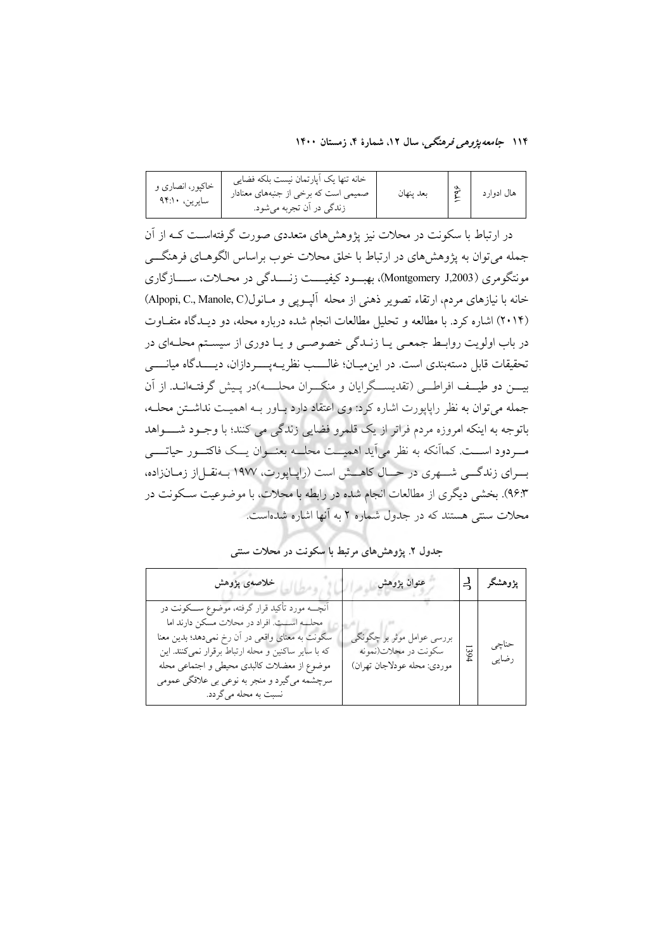| خاکپور، انصاری و<br>سايرين، ٩۴:١٠ | خانه تنها يک اَپارتمان نيست بلکه فضايي<br>صمیمی است که برخی از جنبههای معنادار<br>زندگی در اَن تجربه میشود. | بعد ينهان |  | هال ادوار د |
|-----------------------------------|-------------------------------------------------------------------------------------------------------------|-----------|--|-------------|
|-----------------------------------|-------------------------------------------------------------------------------------------------------------|-----------|--|-------------|

در ارتباط با سکونت در محلات نیز یژوهشهای متعددی صورت گرفتهاست کـه از آن جمله می توان به پژوهشهای در ارتباط با خلق محلات خوب براساس الگوهـای فرهنگـــی مونتگومري (Montgomery J,2003)، بهبود كيفيـــت زنــــدگي در محــلات، ســــازگاري خانه با نيازهاي مردم، ارتقاء تصوير ذهني از محله آليــويي و مــانول(Alpopi, C., Manole, C) (۲۰۱۴) اشاره کرد. با مطالعه و تحلیل مطالعات انجام شده درباره محله، دو دیـدگاه متفـاوت در باب اولویت روابـط جمعـی یــا زنــدگی خصوصــی و یــا دوری از سیســتم محلــهای در تحقيقات قابل دستهبندي است. در اين ميـان؛ غالــــب نظريــهيـــــردازان، ديـــــدگاه ميانـــــي بیسن دو طیسف افراطسی (تقدیســگرایان و منکـــران محلــــه)در پــیش گرفتــهانــد. از آن جمله می توان به نظر رایایورت اشاره کرد: وی اعتقاد دارد بـاور بـه اهمیـت نداشـتن محلـه، باتوجه به اینکه امروزه مردم فراتر از یک قلمرو فضایی زندگی می کنند؛ با وجـود شـــــواهد مبردود اســت. کمااَنکه به نظر می∫ید اهمیــت محلــه بعنــوان یــک فاکتــور حیاتـــبی بسرای زندگسی شسهری در حسال کاهسش است (راپیاپورت، ۱۹۷۷ بیهنقل از زمیانزاده، ۹۶:۳). بخشی دیگری از مطالعات انجام شده در رابطه با محلات، با موضوعیت سـکونت در محلات سنتی هستند که در جدول شماره ۲ به آنها اشاره شدهاست.

## جدول ۲. یژوهش های مرتبط با سکونت در محلات سنتی

| خلاصەي پژوهش                                                                                                                                                                                                                                                                                                                  | عنوان پژوهش                                                                       |      | پژوهشگر   {_   |
|-------------------------------------------------------------------------------------------------------------------------------------------------------------------------------------------------------------------------------------------------------------------------------------------------------------------------------|-----------------------------------------------------------------------------------|------|----------------|
| آنچـــه مورد تأکید قرار گرفته، موضوع ســـکونت در<br>محله است. افراد در محلات مسکن دارند اما<br>سکونت به معنای واقعی در آن رخ نمیدهد؛ بدین معنا<br>که با سایر ساکنین و محله ارتباط برقرار نمیکنند. این<br>موضوع از معضلات كالبدى محيطى و اجتماعى محله<br>سرچشمه میگیرد و منجر به نوعی بی علاقگی عمومی<br>نسبت به محله مي گردد. | بررسی عوامل موثر بر چگونگی<br>سكونت در محلات(نمونه<br>موردي: محله عودلاجان تهران) | 1394 | حناجى<br>رضایی |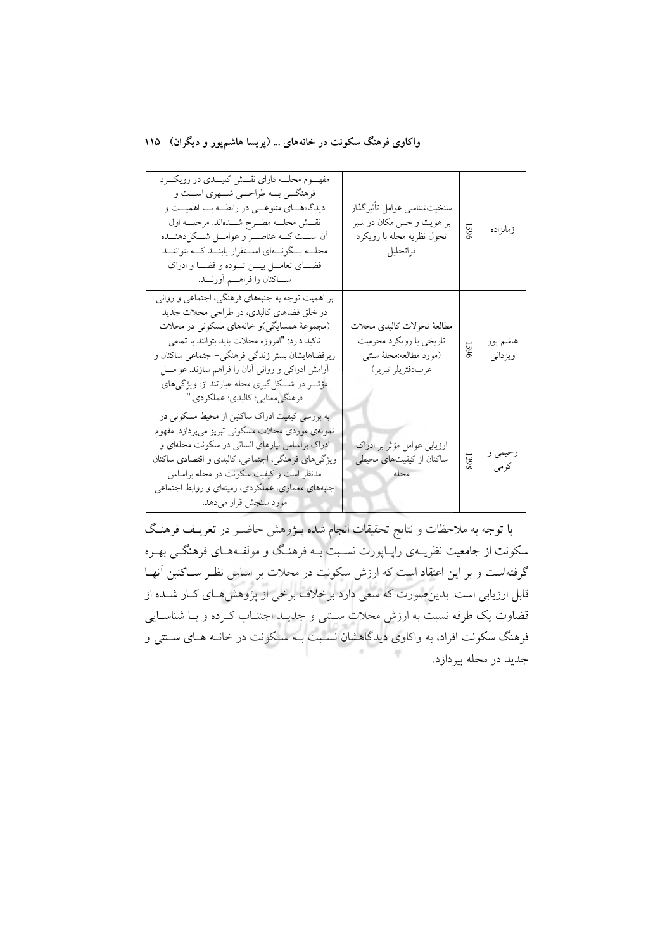واکاوی فرهنگ سکونت در خانههای ... (پریسا هاشمپور و دیگران) ۱۱۵

| مفهـــوم محلــــه دارای نقــــش کلیــــدی در رویکــــرد<br>فرهنگسي بسه طراحسي شسهري اسست و<br>دیدگاههـــای متنوعـــی در رابطـــه بـــا اهمیـــت و<br>نقش محلسه مطوح شسدهاند. مرحلسه اول<br>أن اســت كـــه عناصـــر و عوامـــل شـــكل(هنـــده<br>محلـــه بـــگونــــهاي اســـتقرار يابنـــد كـــه بتواننـــد<br>فضـــاي تعامـــل بيــــن تــــوده و فضــــا و ادراک<br>ســـاكنان را فراهــــم أورنــــد. | سنخيتشناسي عوامل تأثيرگذار<br>بر هويت و حس مكان در سير<br>تحول نظريه محله با رويكرد<br>فراتحليل         | 1396 | زمانزاده            |
|---------------------------------------------------------------------------------------------------------------------------------------------------------------------------------------------------------------------------------------------------------------------------------------------------------------------------------------------------------------------------------------------------------|---------------------------------------------------------------------------------------------------------|------|---------------------|
| بر اهمیت توجه به جنبههای فرهنگی، اجتماعی و روانی<br>در خلق فضاهای کالبدی، در طراحی محلات جدید<br>(مجموعهٔ همسایگی)و خانههای مسکونی در محلات<br>تاکید دارد: "امروزه محلات باید بتوانند با تمامی<br>ریزفضاهایشان بستر زندگی فرهنگی-اجتماعی ساکنان و<br>أرامش ادراکی و روانی أنان را فراهم سازند. عوامــــل<br>مؤثـــر در شـــکل گیری محله عبارتند از: ویژگیهای<br>فرهنگي معنايي؛ كالبدي؛ عملكردي."        | مطالعهٔ تحولات كالبدى محلات<br>تاریخی با رویکرد محرمیت<br>(مورد مطالعه:محلهٔ سنتبی<br>عزبدفتريلر تبريز) | 1396 | هاشم پور<br>ويزداني |
| به بررسی کیفیت ادراک ساکنین از محیط مسکونی در<br>نمونهي موردي محلات مسكوني تبريز ميپردازد. مفهوم<br>ادراک براساس نیازهای انسانی در سکونت محلهای و<br>ویژگیهای فرهنگی، اجتماعی، کالبدی و اقتصادی ساکنان<br>مدنظر است و کیفیت سکونت در محله براساس<br>جنبههای معماری، عملکردی، زمینهای و روابط اجتماعی<br>مورد سنجش قرار ميدهد.                                                                           | ارزیابی عوامل مؤثر بر ادراک<br>ساکنان از کیفیتهای محیطی<br>محله                                         | 1398 | رحيمي و<br>كرمى     |

با توجه به ملاحظات و نتایج تحقیقات انجام شده پــژوهش حاضــر در تعریــف فرهنـگ سکونت از جامعیت نظریــهي راپــاپورت نســبت بــه فرهنـگ و مولفــههـاي فرهنگــي بهـره گرفتهاست و بر این اعتقاد است که ارزش سکونت در محلات بر اساس نظـر ســاکنین آنهــا قابل ارزیابی است. بدین صورت که سعی دارد برخلاف برخی از پژوهش هـای کـار شــده از قضاوت یک طرفه نسبت به ارزش محلات سـنتی و جدیـد اجتنـاب کـرده و بـا شناسـایی فرهنگ سکونت افراد، به واکاوی دیدگاهشان نسبت بـه سـکونت در خانـه هـای سـنتی و جدید در محله بیردازد.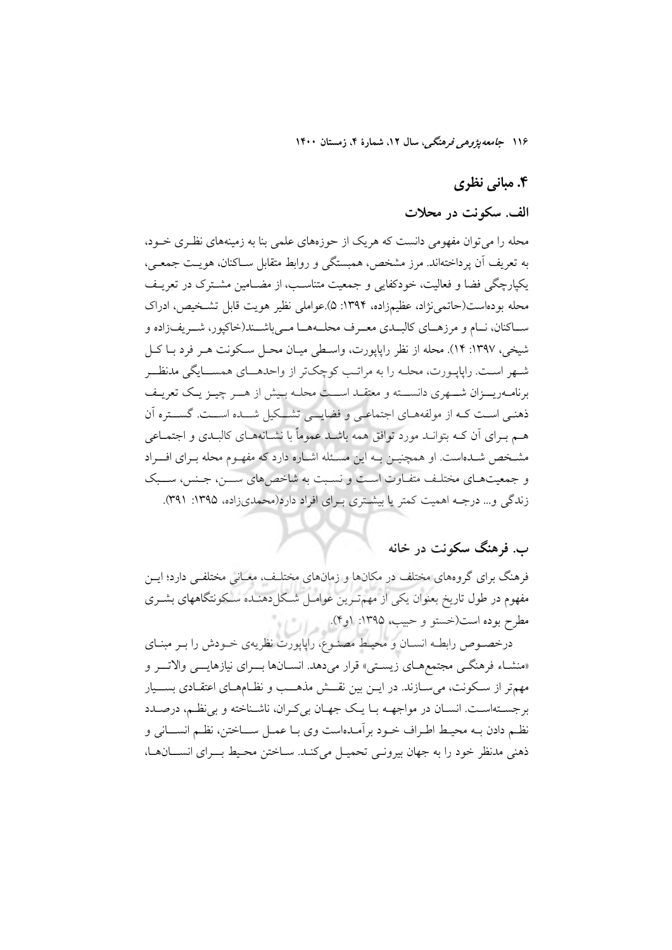## ۴. مبانی نظری

## الف. سکونت در محلات

محله را می توان مفهومی دانست که هر یک از حوزههای علمی بنا به زمینههای نظـری خـود، به تعريف أن يرداختهاند. مرز مشخص، همبستگي و روابط متقابل ســاكنان، هويــت جمعــي، یکپارچگی فضا و فعالیت، خودکفایی و جمعیت متناسب، از مضـامین مشـترک در تعریـف محله بودهاست(حاتمي; اد، عظيمزاده، ١٣٩۴: ۵).عواملي نظير هويت قابل تشـخيص، ادراك ســاکنان، نــام و مرزهــاي کالبــدي معــرف محلــههــا مــيباشــند(خاکپور، شــريف(اده و شيخي، ١٣٩٧: ١۴). محله از نظر رايايورت، واسـطى ميـان محـل سـكونت هـر فرد بـا كـل شـهر اسـت. راپاپـورت، محلـه را به مراتـب کوچکتر از واحدهــاي همســايگي مدنظــر برنامـهريـــزان شـــهري دانســـته و معتقــد اســـت محلــه بـيش از هـــر چيــز يـك تعريــف ذهنمی است کـه از مولفههـای اجتماعـی و فضایــی تشــکیل شــده اســت. گســتره آن هـم بــرای آن کــه بتوانــد مورد توافق همه باشــد عموماً با نشــانههــای کالبــدی و اجتمــاعی مشـخص شـدهاست. او همچنیــن بــه این مسـئله اشــاره دارد که مفهـوم محله بــرای افـــراد و جمعیتهای مختلف متفاوت است و نسبت به شاخصهای ســـن، جـنس، ســـبک زندگی و... درجـه اهمیت کمتر یا بیشـتری بـرای افراد دارد(محمدیزاده، ۱۳۹۵: ۳۹۱).

## ب. فرهنگ سکونت در خانه

فرهنگ برای گروههای مختلف در مکانها و زمانهای مختلـف، معـانی مختلفـی دارد؛ ایــن مفهوم در طول تاریخ بعنوان یکی از مهم تـرین عوامـل شـکلدهنــده سـکونتگاههای بشــری مطرح بوده است(خستو و حبيب، ١٣٩۵: (و۴).

درخصوص رابطـه انســان و محيـط مصنـوع، راپاپورت نظريهي خــودش را بــر مبنــاي «منشـاء فرهنگــي مجتمعهــاي زيســتي» قرار ميدهد. انســانها بـــراي نيازهايـــي والاتـــر و مهمتر از سکونت، میسـازند. در ایــن بین نقـــش مذهـــب و نظــامهــای اعتقــادی بســـیار برجستهاست. انسـان در مواجهـه بـا يـك جهـان بيكـران، ناشـناخته و بي نظـم، درصـدد نظـم دادن بــه محيـط اطـراف خــود برأمــدهاست وى بــا عمــل ســـاختن، نظــم انســـانى و ذهنی مدنظر خود را به جهان بیرونمی تحمیـل میکنـد. سـاختن محـیط بــرای انســانهـا،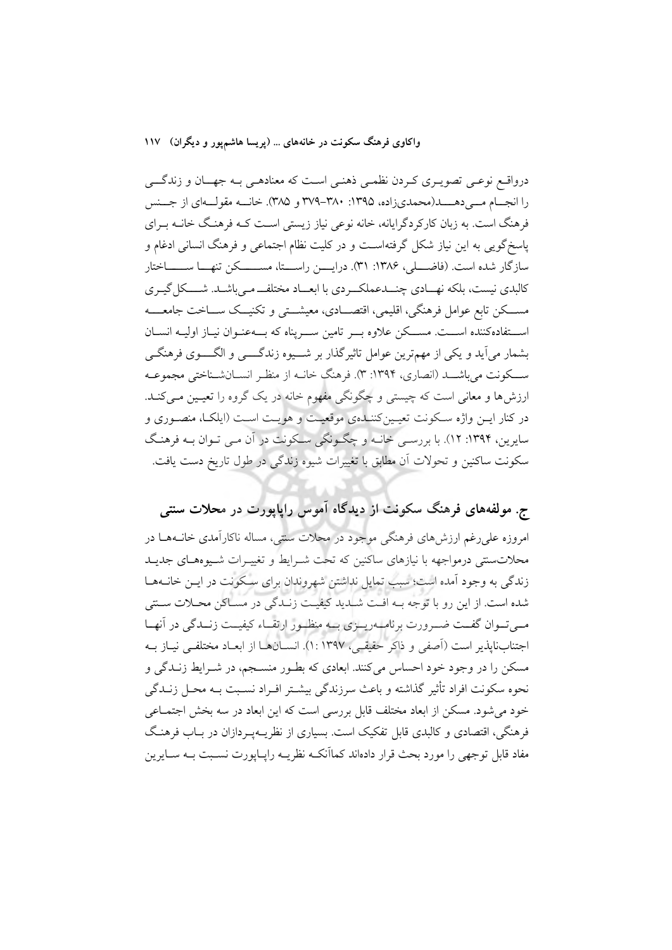واکاوی فرهنگ سکونت در خانههای … (پریسا هاشمپور و دیگران) ۱۱۷

درواقع نوعـی تصویـری کـردن نظمـی ذهنـی اسـت که معنادهـی بـه جهــان و زندگـــی را انجــام مـــی دهــــد(محمدیزاده، ۱۳۹۵: ۳۸۰-۳۷۹ و ۳۸۵). خانــه مقولــهای از جــنس فرهنگ است. به زبان کارکردگرایانه، خانه نوعی نیاز زیستی است کـه فرهنـگ خانـه بـرای یاسخگویی به این نیاز شکل گرفتهاست و در کلیت نظام اجتماعی و فرهنگ انسانی ادغام و سازگار شده است. (فاضــــلی، ۱۳۸۶: ۳۱). درایــــن راســــتا، مســـــــکن تنهـــا ســـــــاختار کالبدی نیست، بلکه نهـادی چنــدعملکــردی با ابعــاد مختلفــ مـیباشـد. شـــکل گیـری مســـکن تابع عوامل فرهنگي، اقليمي، اقتصـــادي، معيشـــتي و تکنيــک ســـاخت جامعــــه اســـتفادهکننده اســـت. مســکن علاوه بـــر تامین ســـریناه که بـــهعنــوان نیــاز اولیــه انســان بشمار میآید و یکی از مهمترین عوامل تاثیرگذار بر شـــیوه زندگــــی و الگــــوی فرهنگــی ســـکونت می باشـــد (انصاری، ۱۳۹۴: ۳). فرهنگِ خانــه از منظـر انســانشــناختی مجموعــه ارزش ها و معانی است که چیستی و چگونگی مفهوم خانه در یک گروه را تعیمین می کنـد. در کنار ایــن واژه ســکونت تعیــین کننــدهی موقعیــت و هویــت اســت (ایلکــا، منصــوری و سایرین، ۱۳۹۴: ۱۲). با بررسـی خانـه و چگـونگی سـکونت در آن مـی تـوان بـه فرهنـگ سکونت ساکنین و تحولات آن مطابق با تغییرات شیوه زندگی در طول تاریخ دست یافت.

ج. مولفههای فرهنگ سکونت از دیدگاه آموس راپاپورت در محلات سنتی

امروزه علی رغم ارزش های فرهنگی موجود در محلات سنتی، مساله ناکارآمدی خانـههـا در محلاتسنتی درمواجهه با نیازهای ساکنین که تحت شـرایط و تغییـرات شـیوههـای جدیـد زندگی به وجود آمده است؛ سبب تمایل نداشتن شهروندان برای سکونت در ایـن خانـههـا شده است. از این رو با توجه بــه افــت شــدید کیفیــت زنــدگی در مســاکن محــلات ســتی میتوان گفت ضرورت برنامهریهزی به منظور ارتقاء کیفیت زنبدگی در آنها اجتنابناپذیر است (آصفی و ذاکر حقیقی، ۱۳۹۷ :۱). انسـانهـا از ابعـاد مختلفـی نیـاز بـه مسکن را در وجود خود احساس می کنند. ابعادی که بطـور منسـجم، در شـرایط زنــدگی و نحوه سکونت افراد تأثیر گذاشته و باعث سرزندگی بیشـتر افـراد نسـبت بـه محـل زنــدگی خود می شود. مسکن از ابعاد مختلف قابل بررسی است که این ابعاد در سه بخش اجتمــاعی فرهنگی، اقتصادی و کالبدی قابل تفکیک است. بسیاری از نظریــهیــردازان در بــاب فرهنـگ مفاد قابل توجهی را مورد بحث قرار دادهاند کماآنکـه نظریــه رایــایورت نســبت بــه ســایرین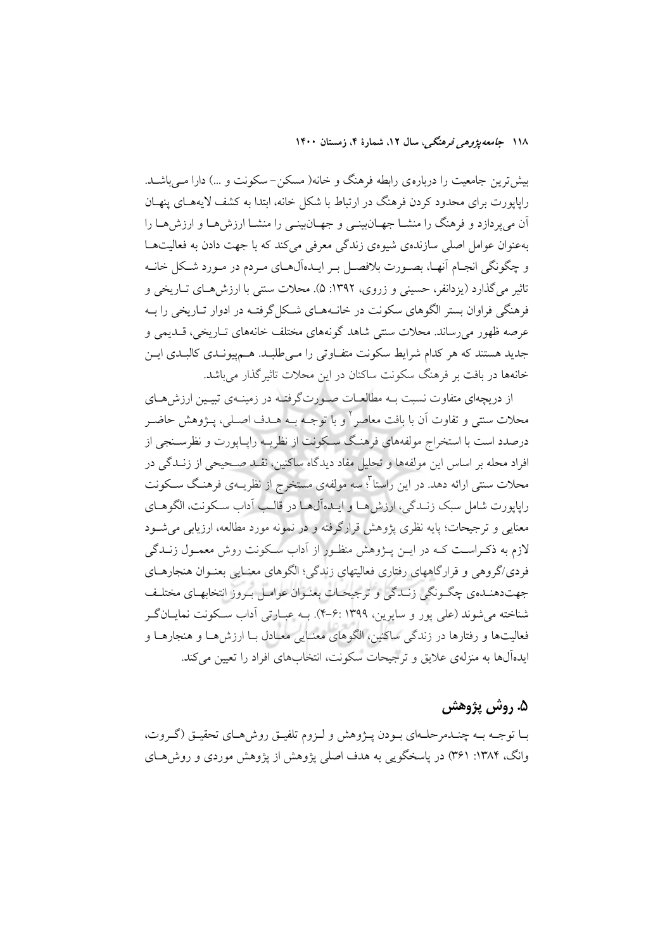بیش ترین جامعیت را درباره ی رابطه فرهنگ و خانه( مسکن – سکونت و …) دارا مـیباشــد. رایاپورت برای محدود کردن فرهنگ در ارتباط با شکل خانه، ابتدا به کشف لایههـای پنهـان آن میپردازد و فرهنگ را منشـا جهـانبینـی و جهـانبینـی را منشـا ارزشهـا و ارزشهـا را بهعنوان عوامل اصلی سازندهی شیوهی زندگی معرفی می کند که با جهت دادن به فعالیتها و چگونگی انجـام آنهـا، بصـورت بلافصـل بـر ايـدهآل@عای مـردم در مـورد شـكل خانــه تاثیر می گذارد (یزدانفر، حسینی و زروی، ۱۳۹۲: ۵). محلات سنتی با ارزش هـای تــاریخی و فرهنگی فراوان بستر الگوهای سکونت در خانـههـای شـکل گرفتـه در ادوار تـاریخی را بـه عرصه ظهور می رساند. محلات سنتی شاهد گونههای مختلف خانههای تــاریخی، قــدیمی و جدید هستند که هر کدام شرایط سکونت متفـاوتی را مـیطلبـد. هــمپیونــدی کالبــدی ایــن خانهها در بافت بر فرهنگ سکونت ساکنان در این محلات تاثیر گذار می باشد.

از دریچهای متفاوت نسبت بــه مطالعــات صــورتگرفتــه در زمینــهی تبیــین ارزش۵حـای محلات سنتي و تفاوت أن با بافت معاصر <sup>٢</sup> و با توجـه بـه هــدف اصــلي، پــژوهش حاضــر درصدد است با استخراج مولفههای فرهنگ سکونت از نظریـه راپـاپورت و نظرسـنجی از افراد محله بر اساس این مولفهها و تحلیل مفاد دیدگاه ساکنین، نقـد صـحیحی از زنـدگی در محلات سنتی ارائه دهد. در این راستا<sup>؟</sup>؛ سه مولفهی مستخرج از نظریــهی فرهنـگ سـكونت راپايورت شامل سبک زنـدگي، ارزش هـا و ايــدهآل1هـا در قالــب آداب ســکونت، الگوهــاي معنایی و ترجیحات؛ پایه نظری پژوهش قرارگرفته و در نمونه مورد مطالعه، ارزیابی می شــود لازم به ذکـراسـت کـه در ايــن پــژوهش منظـور از اَداب ســکونت روش معمــول زنــدگی فردي/گروهي و قرارگاههاي رفتاري فعاليتهاي زندگي؛ الگوهاي معنـايي بعنـوان هنجارهــاي جهتدهندهي چگونگي زنيدگي و ترجيحات بعنوان عوامل بروز انتخابهاي مختلف شناخته می شوند (علی پور و سایرین، ۱۳۹۹ :۶-۴). بـه عبـارتی آداب سـکونت نمایـانگـر فعالیتها و رفتارها در زندگی ساکنین، الگوهای معنـایی معـادل بـا ارزشهـا و هنجارهـا و ايدهآلها به منزلهي علايق و ترجيحات سكونت، انتخابهاي افراد را تعيين مي كند.

## ۵. روش پژوهش

بـا توجـه بـه چنـدمرحلـهاي بـودن پـژوهش و لـزوم تلفيـق روشهـاي تحقيـق (گـروت، وانگ، ۱۳۸۴: ۳۶۱) در یاسخگویی به هدف اصلی پژوهش از پژوهش موردی و روش هـای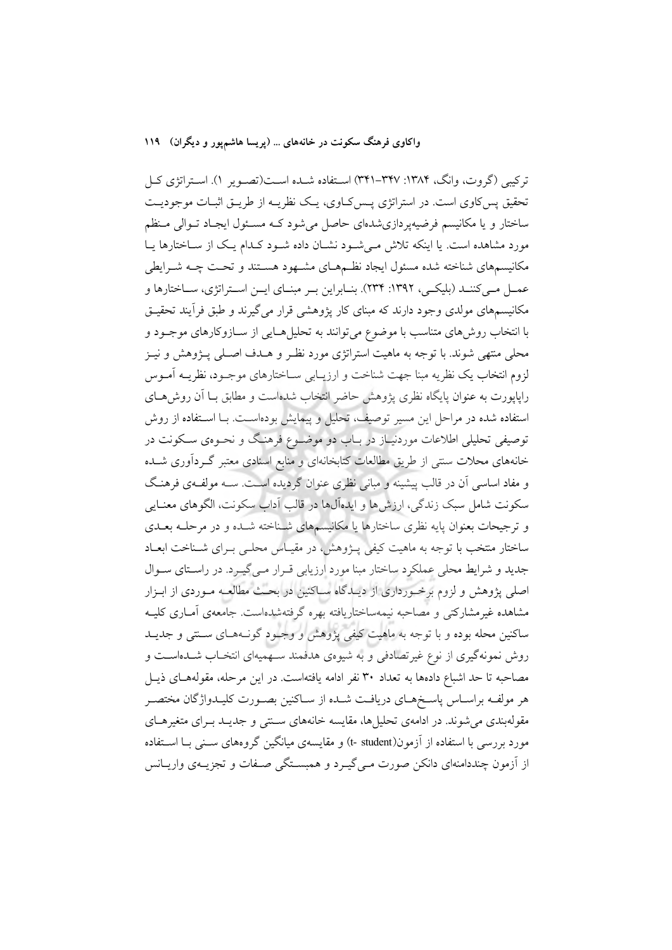#### واکاوی فرهنگ سکونت در خانههای … (پریسا هاشمپور و دیگران) ۱۱۹

ترکیبی (گروت، وانگ، ۱۳۸۴: ۱۳۴۷-۳۴۱) استفاده شـده اسـت(تصـویر ۱). اسـتراتژی کـل تحقیق پس کاوی است. در استراتژی پـس کـاوی، یـک نظریــه از طریــق اثبــات موجودیــت ساختار و یا مکانیسم فرضیهپردازی شدهای حاصل می شود کـه مسـئول ایجـاد تـوالی مـنظم مورد مشاهده است. یا اینکه تلاش مـیشـود نشـان داده شـود کـدام یـک از سـاختارها یـا مکانیسمهای شناخته شده مسئول ایجاد نظـمهـای مشـهود هسـتند و تحـت چــه شــرایطی عمــل مــي كننــد (بليكــي، ١٣٩٢: ٢٣٣). بنــابراين بــر مبنــاي ايــن اســتراتژي، ســاختارها و مکانیسمهای مولدی وجود دارند که مبنای کار پژوهشی قرار میگیرند و طبق فرأیند تحقیـق با انتخاب روشهای متناسب با موضوع می توانند به تحلیلهایی از سـازوکارهای موجـود و محلی منتهی شوند. با توجه به ماهیت استراتژی مورد نظـر و هــدف اصــلی پــژوهش و نيــز لزوم انتخاب يک نظريه مبنا جهت شناخت و ارزيـابي ســاختارهاي موجـود، نظريــه آمــوس راپاپورت به عنوان پایگاه نظری پژوهش حاضر انتخاب شدهاست و مطابق بــا آن روش،هــای استفاده شده در مراحل این مسیر توصیف، تحلیل و پیمایش بودهاسـت. بــا اســتفاده از روش توصیفی تحلیلی اطلاعات موردنیـاز در بـاب دو موضــوع فرهنـگ و نحــوهی ســکونت در خانههای محلات سنتی از طریق مطالعات کتابخانهای و منابع اسنادی معتبر گـردآوری شــده و مفاد اساسی آن در قالب پیشینه و مبانی نظری عنوان گردیده اسـت. سـه مولفـهی فرهنـگ سکونت شامل سبک زندگی، ارزش ها و ایدهآل۵ا در قالب آداب سکونت، الگوهای معنـایی و ترجیحات بعنوان پایه نظری ساختارها یا مکانیسمهای شـناخته شـده و در مرحلـه بعـدی ساختار منتخب با توجه به ماهیت کیفی پــژوهش، در مقیــاس محلــی بــرای شــناخت ابعــاد جدید و شرایط محلی عملکرد ساختار مبنا مورد ارزیابی قـرار مـیگیـرد. در راسـتای سـوال اصلی پژوهش و لزوم برخـورداری از دیـدگاه سـاکنین در بحـث مطالعـه مـوردی از ابـزار مشاهده غیرمشارکتی و مصاحبه نیمهساختاریافته بهره گرفتهشدهاست. جامعهی آمـاری کلیــه ساکنین محله بوده و با توجه به ماهیت کیفی پژوهش و وجـود گونـههـای سـنتی و جدیـد روش نمونهگیری از نوع غیرتصادفی و به شیوهی هدفمند سهمیهای انتخـاب شــدهاســت و مصاحبه تا حد اشباع دادهها به تعداد ۳۰ نفر ادامه یافتهاست. در این مرحله، مقولههـای ذیـل هر مولفـه براسـاس ياسـخهـاي دريافـت شـده از سـاكنين بصـورت كليـدواژگان مختصـر مقولهبندی می شوند. در ادامهی تحلیل ها، مقایسه خانههای ســنتی و جدیــد بــرای متغیرهــای مورد بررسی با استفاده از آزمون(t- student) و مقایسهی میانگین گروههای سب با استفاده از اَزمون چنددامنهای دانکن صورت مـی گیـرد و همبسـتگی صـفات و تجزیــهی واریــانس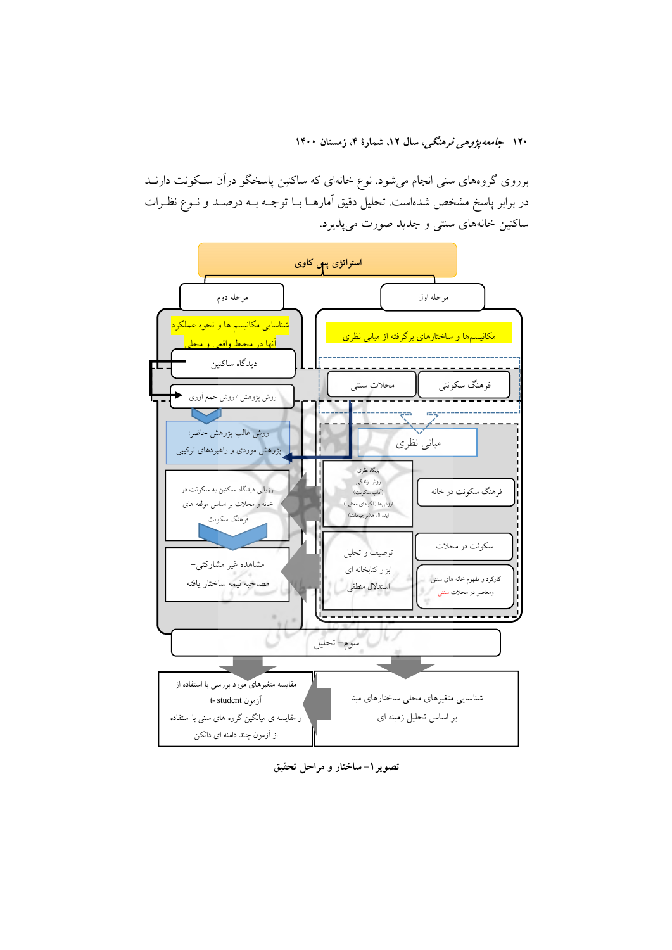برروی گروههای سنی انجام میشود. نوع خانهای که ساکنین پاسخگو درآن سـکونت دارنــد در برابر پاسخ مشخص شدهاست. تحلیل دقیق آمارهــا بــا توجــه بــه درصــد و نــوع نظــرات ساکنین خانههای سنتی و جدید صورت میپذیرد.



تصویر ۱– ساختار و مراحل تحقیق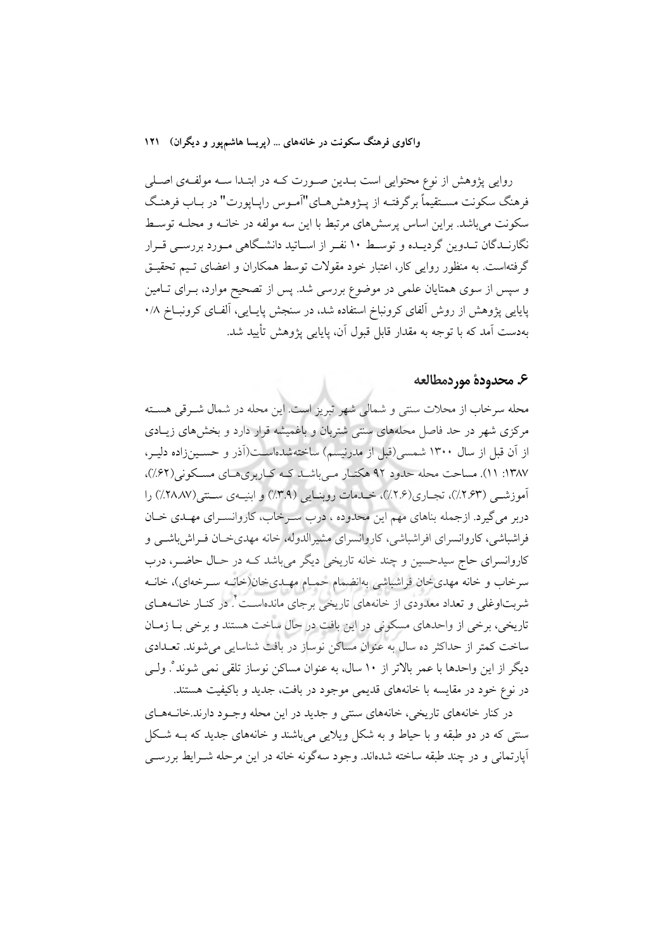واکاوی فرهنگ سکونت در خانههای ... (پریسا هاشم یور و دیگران) ۱۲۱

روایی پژوهش از نوع محتوایی است بــدین صــورت کــه در ابتــدا ســه مولفــهی اصــلی فرهنگ سکونت مسـتقيماً برگرفتـه از پـژوهش١هـاي"آمـوس رايـايورت" در بـاب فرهنـگ سکونت می باشد. براین اساس پرسشهای مرتبط با این سه مولفه در خانــه و محلــه توسـط نگارنـدگان تـدوین گردیـده و توسـط ۱۰ نفـر از اســاتید دانشــگاهی مـورد بررســی قــرار گرفتهاست. به منظور روایی کار، اعتبار خود مقولات توسط همکاران و اعضای تـیم تحقیـق و سپس از سوی همتایان علمی در موضوع بررسی شد. پس از تصحیح موارد، بــرای تــامین پایایی پژوهش از روش آلفای کرونباخ استفاده شد، در سنجش پایـایی، آلفـای کرونبــاخ ۰/۸ بهدست آمد که با توجه به مقدار قابل قبول آن، پایایی پژوهش تأیید شد.

#### ع. محدودة موردمطالعه

محله سرخاب از محلات سنتي و شمالي شهر تبريز است. اين محله در شمال شـرقي هسـته مرکزی شهر در حد فاصل محلههای سنتی شتربان و باغمیشه قرار دارد و بخش های زیبادی از آن قبل از سال ۱۳۰۰ شمسی(قبل از مدرنیسم) ساختهشدهاست(آذر و حسـینزاده دلیـر، ۱۳۸۷: ۱۱). مساحت محله حدود ۹۲ هکتـار مـی باشـد کـه کـاربریهـای مسـکونی(۶۲٪)، آموزشــی (۲.۶۳٪)، تجــاری(۲.۶٪)، خــدمات روبنــایی (۳.۹٪) و ابنیــهی ســتـی(۲۸۸۷٪) را دربر مي گيرد. ازجمله بناهاي مهم اين محدوده ، درب سـرخاب، كاروانسـراي مهـدي خـان فراشباشی، کاروانسرای افراشباشی، کاروانسرای مشیرالدوله، خانه مهدیخان فـراش!شــی و کاروانسرای حاج سیدحسین و چند خانه تاریخی دیگر میباشد کـه در حـال حاضـر، درب سرخاب و خانه مهدي خان فراشباشي بهانضمام حمـام مهـديخان(خانـه سـرخهاي)، خانــه شربتاوغلی و تعداد معدودی از خانههای تاریخی برجای ماندهاسـت ٔ در کنــار خانــههــای تاریخی، برخی از واحدهای مسکونی در این بافت در حال ساخت هستند و برخی بـا زمـان ساخت کمتر از حداکثر ده سال به عنوان مساکن نوساز در بافت شناسایی می شوند. تعـدادی دیگر از این واحدها با عمر بالاتر از ۱۰ سال، به عنوان مساکن نوساز تلقی نمی شوند ْ. ولـی در نوع خود در مقایسه با خانههای قدیمی موجود در بافت، جدید و باکیفیت هستند.

در کنار خانههای تاریخی، خانههای سنتی و جدید در این محله وجـود دارند.خانـههـای سنتی که در دو طبقه و با حیاط و به شکل ویلایی می باشند و خانههای جدید که بـه شـکل آپارتمانی و در چند طبقه ساخته شدهاند. وجود سهگونه خانه در این مرحله شـرایط بررسـی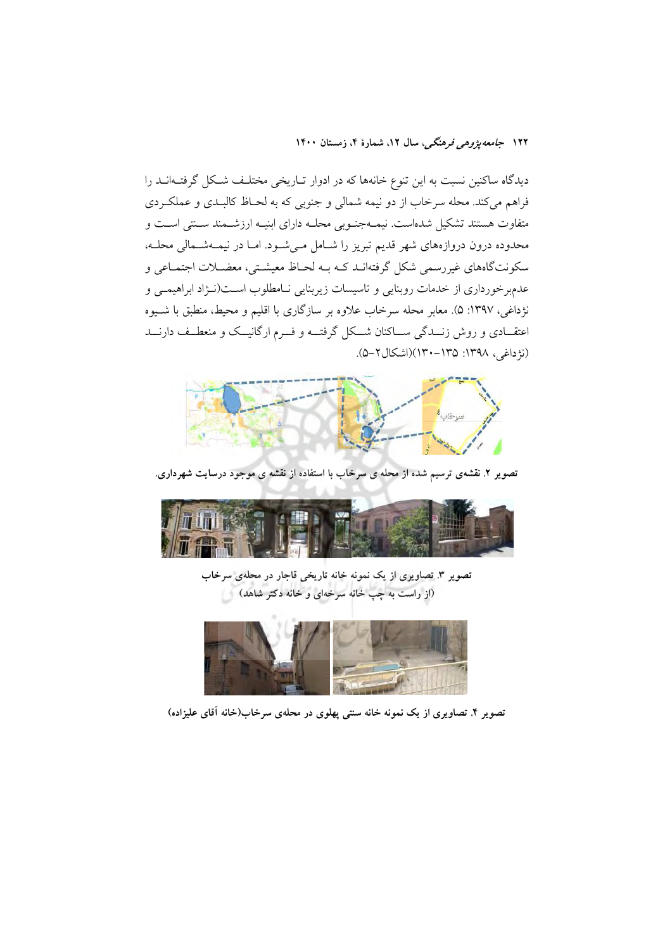دیدگاه ساکنین نسبت به این تنوع خانهها که در ادوار تـاریخی مختلـف شـکل گرفتـهانــد را فراهم میکند. محله سرخاب از دو نیمه شمالی و جنوبی که به لحـاظ کالبـدی و عملکـردی متفاوت هستند تشکیل شدهاست. نیمـهجنـوبی محلـه دارای ابنیـه ارزشـمند سـنتی اسـت و محدوده درون دروازههای شهر قدیم تبریز را شـامل مـیشـود. امـا در نیمـهشـمالی محلـه، سکونتگاههای غیررسمی شکل گرفتهانـد کـه بـه لحـاظ معیشـتی، معضـلات اجتمـاعی و عدمبرخورداری از خدمات روبنایی و تاسیسات زیربنایی نـامطلوب اسـت(نـژاد ابراهیمـی و نژداغی، ۱۳۹۷: ۵). معابر محله سرخاب علاوه بر سازگاری با اقلیم و محیط، منطبق با شـیوه اعتقــادی و روش زنــدگی ســاکنان شــکل گرفتــه و فــرم ارگانیــک و منعطــف دارنــد (نژداغی، ۱۳۹۸: ۱۳۵–۱۳۰)(اشکال۲–۵).



تصویر ۲. نقشهی ترسیم شده از محله ی سرخاب با استفاده از نقشه ی موجود درسایت شهرداری.



تصویر ۳. تصاویری از یک نمونه خانه تاریخی قاجار در محلهی سرخاب (از راست به چپ خانه سرخهای و خانه دکتر شاهد)



تصویر ۴. تصاویری از یک نمونه خانه سنتی پهلوی در محلهی سرخاب(خانه آقای علیزاده)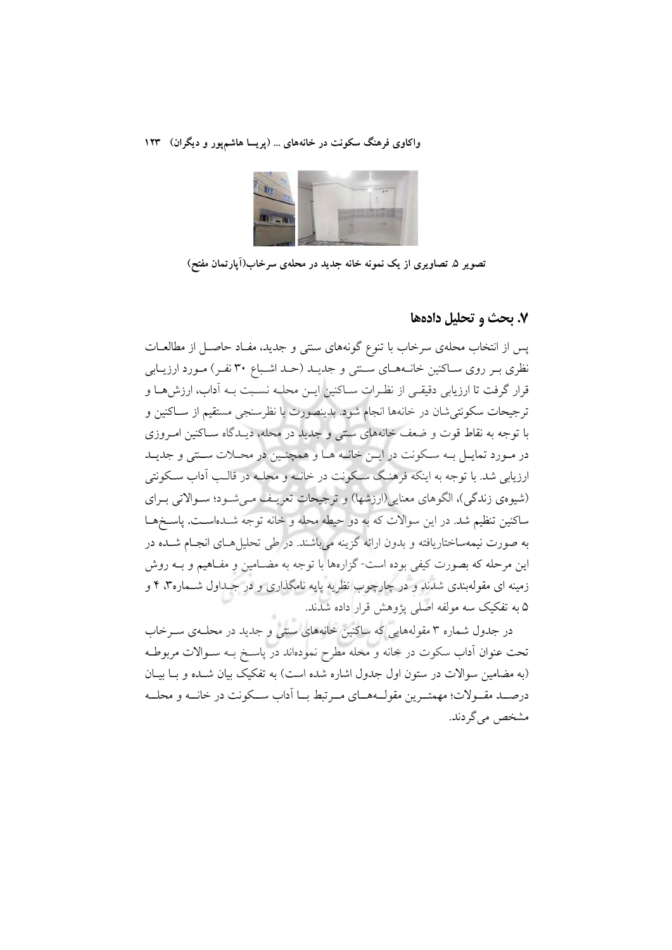

تصویر ۵ تصاویری از یک نمونه خانه جدید در محلهی سرخاب(آپارتمان مفتح)

#### ٧. يحث و تحليل دادهها

پس از انتخاب محلهی سرخاب با تنوع گونههای سنتی و جدید، مفـاد حاصـل از مطالعـات نظری بـر روی سـاکنین خانـههـای سـتتی و جدیـد (حـد اشـباع ۳۰ نفـر) مـورد ارزیـابی قرار گرفت تا ارزیابی دقیقی از نظـرات سـاکنین ایــن محلـه نسـبت بــه آداب، ارزش هــا و ترجيحات سكونتي شان در خانهها انجام شود. بدينصورت با نظرسنجي مستقيم از سـاكنين و با توجه به نقاط قوت و ضعف خانههای سنتی و جدید در محله، دیـدگاه سـاکنین امـروزی در مـورد تمايـل بـه سـكونت در ايـن خانـه هـا و همچنـين در محـلات سـنتي و جديـد ارزیابی شد. با توجه به اینکه فرهنگ سکونت در خانـه و محلـه در قالـب آداب سـکونتی (شیوهی زندگی)، الگوهای معنایی(ارزشها) و ترجیحات تعریـف مـیشـود؛ سـوالاتی بـرای ساکنین تنظیم شد. در این سوالات که به دو حیطه محله و خانه توجه شــدهاســت. یاســخهــا به صورت نیمهساختاریافته و بدون ارائه گزینه میباشند. در طی تحلیل هـای انجـام شــده در این مرحله که بصورت کیفی بوده است-گزارهها با توجه به مضــامین و مفــاهیم و بــه روش زمینه ای مقولهبندی شدند و در چارچوب نظریه پایه نامگذاری و در جـداول شـماره۳، ۴ و ۵ به تفکیک سه مولفه اصلی پژوهش قرار داده شدند.

در جدول شماره ۳ مقولههایی که ساکنین خانههای سنتی و جدید در محلـهی ســرخاب تحت عنوان آداب سکوت در خانه و محله مطرح نمودهاند در پاسـخ بــه ســوالات مربوطــه (به مضامین سوالات در ستون اول جدول اشاره شده است) به تفکیک بیان شـده و بـا بیـان درصـد مقــولات؛ مهمتــرين مقولــههــاي مــرتبط بــا أداب ســكونت در خانــه و محلــه مشخص می گردند.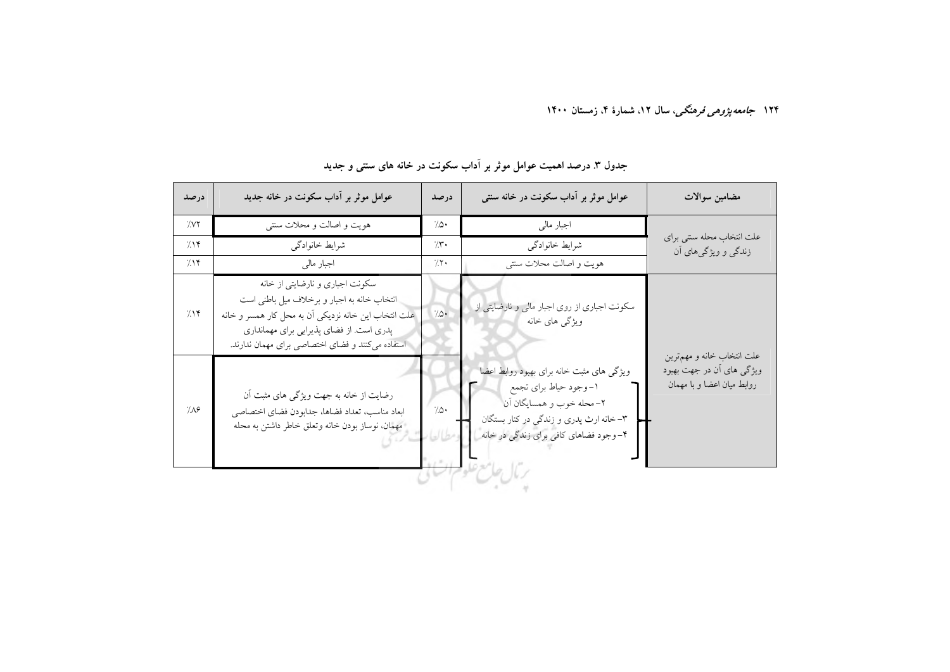| هويت و اصالت و محلات سنتي<br>اجبار مالی<br>$\gamma$<br>0۰/<br>علت انتخاب محله سنتي براي<br>شرايط خانوادگى<br>شرايط خانوادگى<br>715<br>7.5<br>زندگی و ویژگیهای آن<br>هويت و اصالت محلات سنتي<br>اجبار مالي<br>7.15<br>7.7<br>سکونت اجباری و نارضایتی از خانه<br>انتخاب خانه به اجبار و برخلاف میل باطنی است<br>سکونت اجباری از روی اجبار مالی و نارضایتی از<br>$^{\prime\prime}$ .<br>715<br>علت انتخاب این خانه نزدیکی آن به محل کار همسر و خانه<br>ویژگی های خانه<br>پدری است. از فضای پذیرایی برای مهمانداری<br>استفاده می کنند و فضای اختصاصی برای مهمان ندارند.<br>علت انتخاب خانه و مهمترين<br>ویژگی های مثبت خانه برای بهبود روابط اعضا<br>١-وجود حياط براي تجمع<br>رضایت از خانه به جهت ویژگی های مثبت آن<br>٢-محله خوب و همسايگان آن<br>$\gamma\infty$ .<br>7/19<br>ابعاد مناسب، تعداد فضاها، جدابودن فضاي اختصاصي | درصد | عوامل موثر بر آداب سکونت در خانه جدید           | درصد | عوامل موثر بر آداب سکونت در خانه سنتی  | مضامين سوالات                                            |
|----------------------------------------------------------------------------------------------------------------------------------------------------------------------------------------------------------------------------------------------------------------------------------------------------------------------------------------------------------------------------------------------------------------------------------------------------------------------------------------------------------------------------------------------------------------------------------------------------------------------------------------------------------------------------------------------------------------------------------------------------------------------------------------------------------------------------|------|-------------------------------------------------|------|----------------------------------------|----------------------------------------------------------|
|                                                                                                                                                                                                                                                                                                                                                                                                                                                                                                                                                                                                                                                                                                                                                                                                                            |      |                                                 |      |                                        |                                                          |
|                                                                                                                                                                                                                                                                                                                                                                                                                                                                                                                                                                                                                                                                                                                                                                                                                            |      |                                                 |      |                                        |                                                          |
|                                                                                                                                                                                                                                                                                                                                                                                                                                                                                                                                                                                                                                                                                                                                                                                                                            |      |                                                 |      |                                        |                                                          |
|                                                                                                                                                                                                                                                                                                                                                                                                                                                                                                                                                                                                                                                                                                                                                                                                                            |      |                                                 |      |                                        |                                                          |
| ۴- وجود فضاهاي كافي براي زندگي در خانه<br>رمال الكالخ سلوم السا                                                                                                                                                                                                                                                                                                                                                                                                                                                                                                                                                                                                                                                                                                                                                            |      | مهمان، نوساز بودن خانه وتعلق خاطر داشتن به محله |      | ۳-خانه ارث پدري و زندگي در کنار بستگان | ویژگی های اُن در جهت بهبود<br>روابط میان اعضا و با مهمان |

## جدول ۳. درصد اهمیت عوامل موثر بر اَداب سکونت در خانه های سنتی و جدید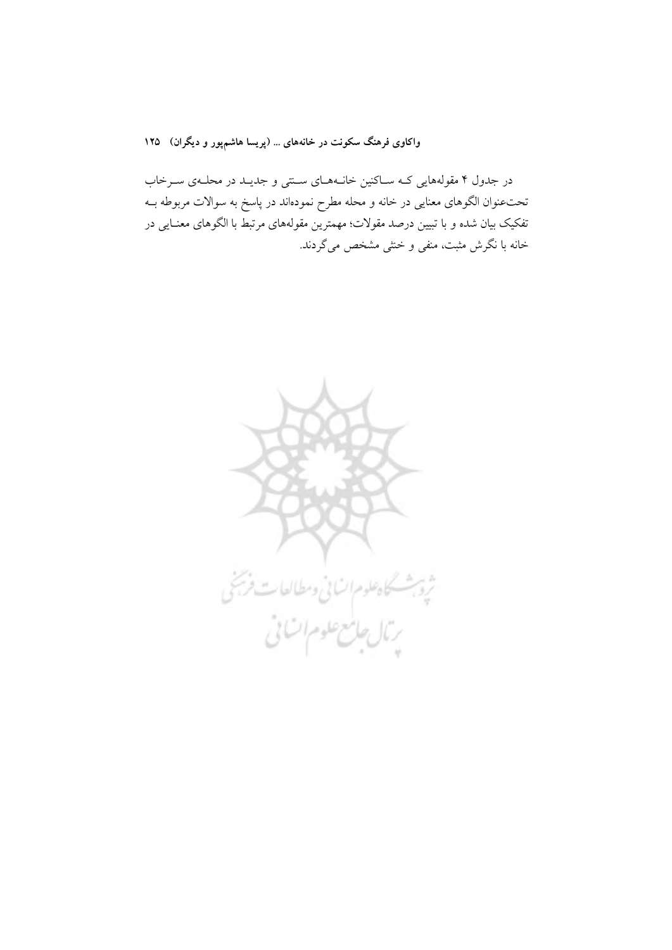واکاوی فرهنگ سکونت در خانههای ... (پریسا هاشمپور و دیگران) ۱۲۵

در جدول ۴ مقولههایی کـه سـاکنین خانـههـای سـنتی و جدیـد در محلـهی سـرخاب تحتءنوان الگوهای معنایی در خانه و محله مطرح نمودهاند در پاسخ به سوالات مربوطه بــه تفکیک بیان شده و با تبیین درصد مقولات؛ مهمترین مقولههای مرتبط با الگوهای معنـایی در خانه با نگرش مثبت، منفی و خنثی مشخص میگردند.

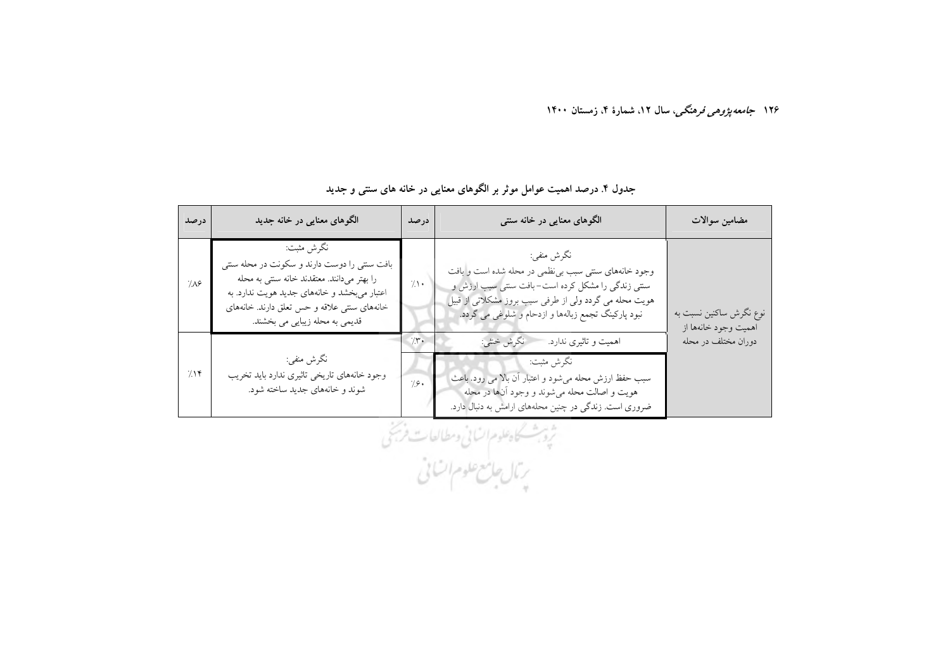| درصد | الگوهای معنایی در خانه جدید                                                                                                                                                                                                              | درصد       | الگوهای معنایی در خانه سنتی                                                                                                                                                                                                             | مضامين سوالات                                   |
|------|------------------------------------------------------------------------------------------------------------------------------------------------------------------------------------------------------------------------------------------|------------|-----------------------------------------------------------------------------------------------------------------------------------------------------------------------------------------------------------------------------------------|-------------------------------------------------|
| 7.19 | نگرش مثبت:<br>بافت سنتی را دوست دارند و سکونت در محله سنتی<br>را بهتر میدانند. معتقدند خانه سنتی به محله<br>اعتبار میبخشد و خانههای جدید هویت ندارد. به<br>خانههای ستتی علاقه و حس تعلق دارند. خانههای<br>قدیمی به محله زیبایی می بخشند. | $\gamma$ . | نگرش منفي:<br>وجود خانههای سنتی سبب بی نظمی در محله شده است و بافت<br>ستمی زندگی را مشکل کرده است–بافت ستنی سبب ارزش و<br>هویت محله می گردد ولی از طرفی سبب بروز مشکلاتی از قبیل<br>نبود پارکینگ تجمع زبالهها و ازدحام و شلوغی می گردد. | نوع نگرش ساکنین نسبت به<br>اهميت وجود خانهها از |
|      |                                                                                                                                                                                                                                          | 7۳۰ (      | نگرش خشي:<br>اهمیت و تاثیری ندارد.                                                                                                                                                                                                      | دوران مختلف در محله                             |
| 715  | نگرش منفي:<br>وجود خانههای تاریخی تاثیری ندارد باید تخریب<br>شوند و خانههای جدید ساخته شود.                                                                                                                                              | 7.9.       | نگرش مثبت:<br>سبب حفظ ارزش محله میشود و اعتبار أن بالا می رود. باعث<br>هویت و اصالت محله میشوند و وجود أنها در محله<br>ضروری است. زندگی در چنین محلههای ارامش به دنبال دارد.                                                            |                                                 |

### جدول ۴. درصد اهمیت عوامل موثر بر الگوهای معنایی در خانه های سنتی و جدید

ژه شکاه علوم انسانی وسطالعات فرجنی<br>بر بال جامع علوم اتسانی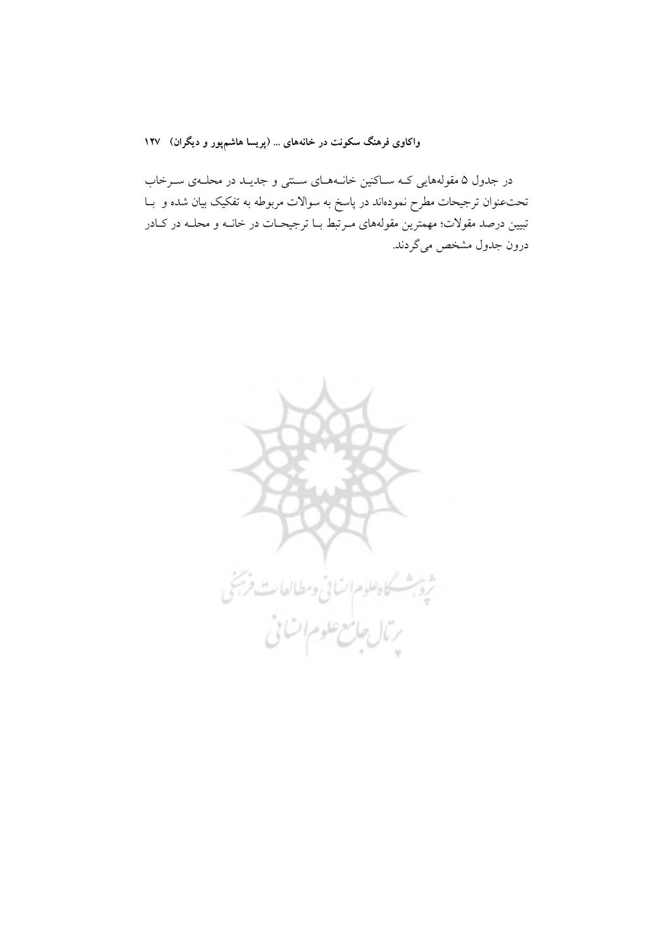واکاوی فرهنگ سکونت در خانههای ... (پریسا هاشمپور و دیگران) ۱۲۷

در جدول ۵ مقولههایی کـه سـاکنین خانـههـای سـنتی و جدیـد در محلـهی سـرخاب تحتءنوان ترجیحات مطرح نمودهاند در پاسخ به سوالات مربوطه به تفکیک بیان شده و با تبیین درصد مقولات؛ مهمترین مقولههای مـرتبط بــا ترجیحــات در خانــه و محلــه در کــادر درون جدول مشخص مي گردند.

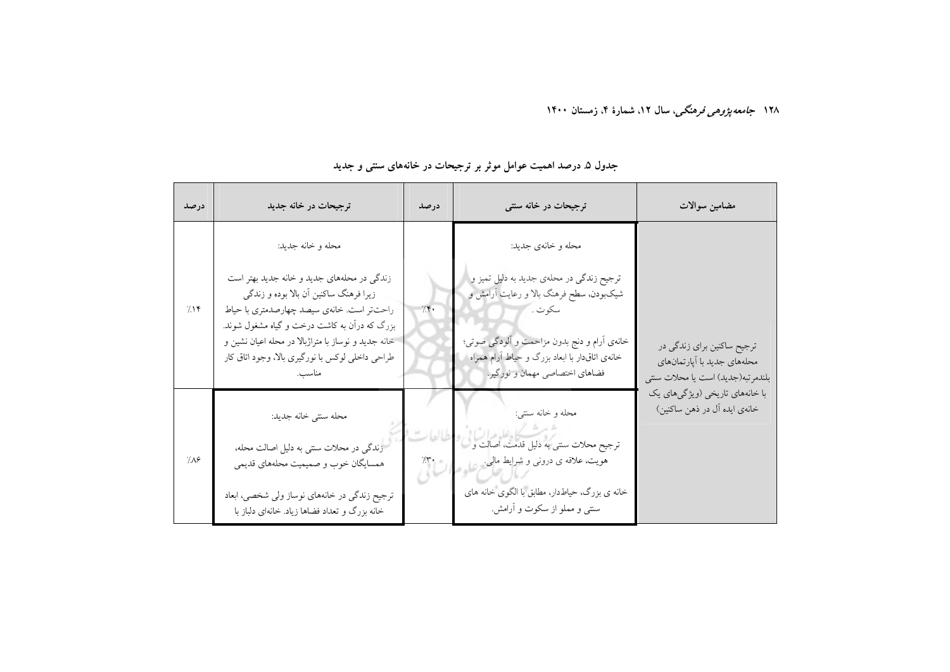| درصد               | ترجیحات در خانه جدید                                                                                                                                                                                                                                                                        | درصد  | ترجیحات در خانه سنتی                                                                                                                                                                                                             | مضامين سوالات                                                                                       |
|--------------------|---------------------------------------------------------------------------------------------------------------------------------------------------------------------------------------------------------------------------------------------------------------------------------------------|-------|----------------------------------------------------------------------------------------------------------------------------------------------------------------------------------------------------------------------------------|-----------------------------------------------------------------------------------------------------|
|                    | محله وخانه جديد:                                                                                                                                                                                                                                                                            |       | محله و خانهي جديد:                                                                                                                                                                                                               |                                                                                                     |
| 715                | زندگی در محلههای جدید و خانه جدید بهتر است<br>زیرا فرهنگ ساکنین آن بالا بوده و زندگی<br>راحتتر است. خانهی سیصد چهارصدمتری با حیاط<br>بزرگ که درآن به کاشت درخت و گیاه مشغول شوند.<br>خانه جدید و نوساز با متراژبالا در محله اعیان نشین و<br>طراحی داخلی لوکس با نورگیری بالا، وجود اتاق کار | 7.5   | ترجیح زندگی در محلهی جدید به دلیل تمیز و<br>شیکبودن، سطح فرهنگ بالا و رعایت آرامش و<br>سكوت .<br>خانهی أرام و دنج بدون مزاحمت و ألودگی صوتی؛<br>خانهی اتاق دار با ابعاد بزرگ و حیاط آرام همراه<br>فضاهای اختصاصی مهمان و نورگیر. | ترجیح ساکنین برای زندگی در<br>محلههای جدید با اَپارتمانهای                                          |
| $\gamma_{\Lambda}$ | محله سنتي خانه جديد:<br>زندگی در محلات سنتی به دلیل اصالت محله،<br>همسایگان خوب و صمیمیت محلههای قدیمی<br>ترجیح زندگی در خانههای نوساز ولی شخصی، ابعاد<br>خانه بزرگ و تعداد فضاها زیاد. خانهای دلباز با                                                                                     | $1 -$ | محله و خانه سنتي:<br>ترجیح محلات سنتی به دلیل قدمت، اصالت و<br>هویت، علاقه ی درونی و شرایط مالی.<br>خانه ی بزرگ، حیاط دار، مطابق با الگوی خانه های<br>سنتمی و مملو از سکوت و آرامش.                                              | بلندمرتبه(جديد) است يا محلات سنتي<br>با خانههای تاریخی (ویژگیهای یک<br>خانهي ايده آل در ذهن ساكنين) |

## جدول ۵ درصد اهمیت عوامل موثر بر ترجیحات در خانههای سنتی و جدید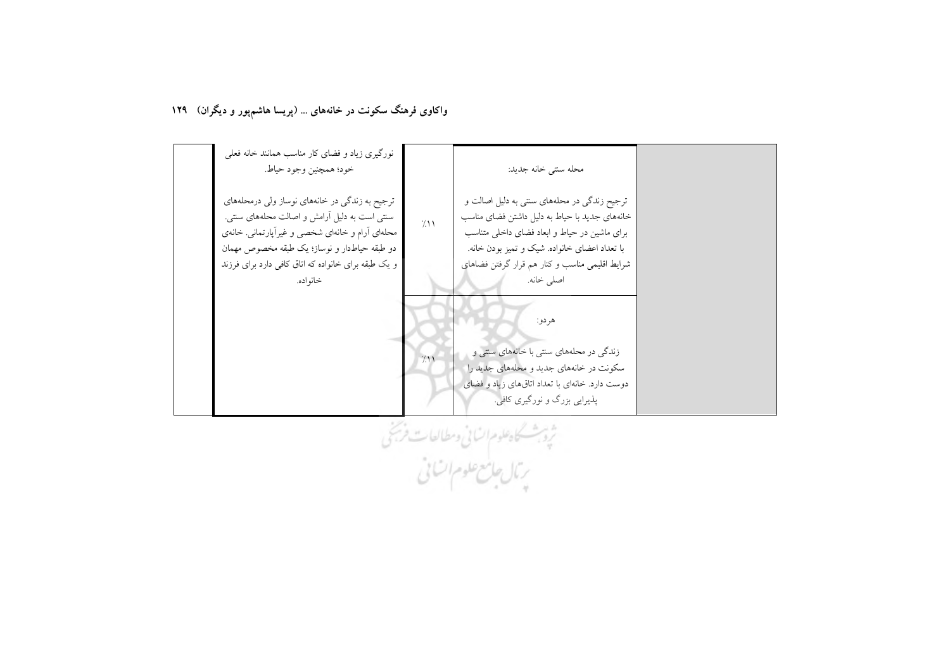واکاوی فرهنگ سکونت در خانههای ... (پریسا هاشم پور و دیگران) ۱۲۹



ثرة بشكاه علوم السائى ومطالعات فرستنى<br>بريال جامع علوم السائى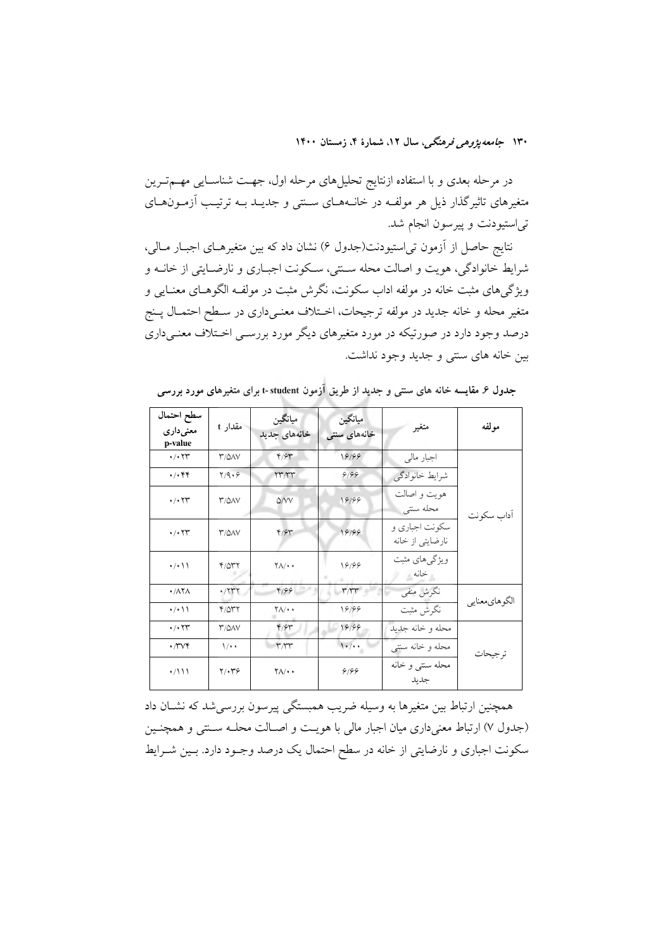در مرحله بعدی و با استفاده ازنتایج تحلیلهای مرحله اول، جهـت شناســایی مهــمتــرین متغیرهای تاثیرگذار ذیل هر مولفـه در خانــههــای ســنتی و جدیــد بــه ترتیــب آزمــون&ـای تی|ستیودنت و پیرسون انجام شد.

نتايج حاصل از آزمون تي|ستيودنت(جدول ۶) نشان داد كه بين متغيرهـاي اجبـار مـالي، شرایط خانوادگی، هویت و اصالت محله سـنتی، سـکونت اجبـاری و نارضـایتی از خانــه و ویژگیهای مثبت خانه در مولفه اداب سکونت، نگرش مثبت در مولف الگوهـای معنـایی و متغیر محله و خانه جدید در مولفه ترجیحات، اخـتلاف معنـیداری در سـطح احتمـال پــنج درصد وجود دارد در صورتیکه در مورد متغیرهای دیگر مورد بررســی اخــتلاف معنــیداری بین خانه های سنتی و جدید وجود نداشت.

| سطح احتمال<br>معنی داری<br>p-value          | مقدار t              | ميانگين<br>خانههای جدید          | ميانگين<br>خانههای سنتی | متغير                              | مولفه         |  |
|---------------------------------------------|----------------------|----------------------------------|-------------------------|------------------------------------|---------------|--|
| $\cdot$ / $\cdot$ $\uparrow \uparrow$       | <b>T/QAV</b>         | 4/94                             | 18199                   | اجبار مالی                         |               |  |
| $\cdot$ / $\cdot$ $\uparrow$                | Y/9.9                | <b>TY'/ TY</b>                   | 9/99                    | شرايط خانوادگي                     |               |  |
| $\cdot$ / $\cdot$ $\uparrow \uparrow$       | <b>T/QAV</b>         | $\Delta$ /VV                     | 18199                   | هويت و اصالت<br>محله سنتى          | أداب سكونت    |  |
| $\cdot$ / $\cdot$ $\uparrow \uparrow$       | <b>T/QAV</b>         | 4/94                             | 18199                   | سکونت اجباري و<br>نارضایتی از خانه |               |  |
| $\cdot$ / $\cdot$ \ \                       | 4/047                | $\Upsilon \Lambda / \cdot \cdot$ | 18188                   | ویژگیهای مثبت<br>خانه              |               |  |
| $\cdot$ / $\wedge \overline{\wedge} \wedge$ | $\cdot$              | 4199                             | rrr                     | نگرش منفی                          |               |  |
| $\cdot$ / $\cdot$ \ \                       | $Y/\Delta Y$         | $Y/\cdot$                        | 18199                   | نگرش مثبت                          | الگوهاي.عنايي |  |
| $\cdot$ / $\cdot$ $\tau$ r                  | <b>T/QAV</b>         | 4/94                             | 18199                   | محله وخانه جديد                    |               |  |
| $\cdot$ / $\vee\vee\vee$                    | $\sqrt{\cdot \cdot}$ | T/TT                             | $1 \cdot / \cdot$       | محله و خانه سنتي                   | ترجيحات       |  |
| $\cdot$ /\\\                                | ۲/۰۳۶                | $Y \wedge / \cdot$               | 9/99                    | محله سنتي و خانه<br>جدىد           |               |  |

جدول ۶. مقایسه خانه های سنتی و جدید از طریق اَزمون t-student برای متغیرهای مورد بررسی

همچنین ارتباط بین متغیرها به وسیله ضریب همبستگی پیرسون بررسیشد که نشــان داد (جدول ۷) ارتباط معنیداری میان اجبار مالی با هویـت و اصــالت محلــه ســنتی و همچنــین سکونت اجباری و نارضایتی از خانه در سطح احتمال یک درصد وجـود دارد. بـین شـرایط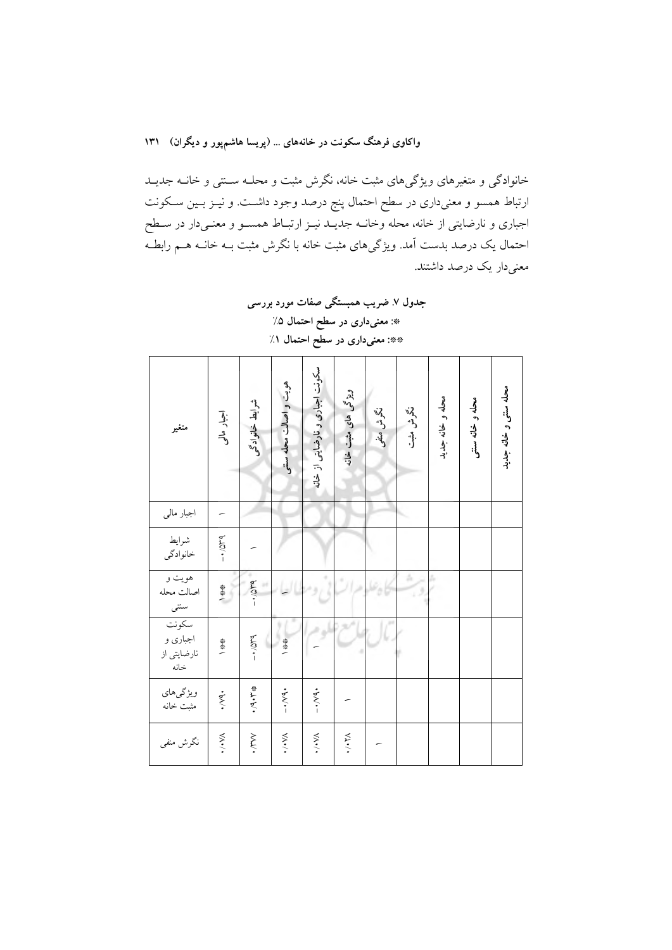واکاوی فرهنگ سکونت در خانههای ... (پریسا هاشمپور و دیگران) ۱۳۱

خانوادگی و متغیرهای ویژگیهای مثبت خانه، نگرش مثبت و محلــه ســنتی و خانــه جدیــد ارتباط همسو و معنیداری در سطح احتمال پنج درصد وجود داشـت. و نیــز بــین ســکونت اجباری و نارضایتی از خانه، محله وخانــه جدیــد نیــز ارتبــاط همســو و معنــیدار در ســطح احتمال یک درصد بدست آمد. ویژگیهای مثبت خانه با نگرش مثبت بــه خانــه هــم رابطــه معنی دار یک درصد داشتند.

> جدول ۷ـ ضریب همبستگی صفات مورد بررسی \*: معنىدارى در سطح احتمال ۵٪ \*\*: معنیداری در سطح احتمال ۱٪

| متغير                                         | اجبار مالی     | شرابط خانوادگی | هویت و اصالت محله ستی | سکونت اجباری و نارضایتی از خانه | ویژگی های مثبت خانه            | نگرش منفی | نگرش مشبت | محله و خانه جدید | محله و خانه سنتی | محله سنتى و خانه جديد |
|-----------------------------------------------|----------------|----------------|-----------------------|---------------------------------|--------------------------------|-----------|-----------|------------------|------------------|-----------------------|
| اجبار مال <sub>ی</sub>                        |                |                |                       |                                 |                                |           |           |                  |                  |                       |
| شرايط<br>خانوادگي                             | $-10^{14}$     |                |                       |                                 |                                |           |           |                  |                  |                       |
| هويت و<br>اصالت محله<br>سنتى<br>—             | 一条条            | $-10$          |                       |                                 |                                |           | á         |                  |                  |                       |
| سكونت<br>ر<br>اجباری و<br>نارضایتی از<br>خانه | 一条条            | $-1/049$       | 一条券                   |                                 |                                |           |           |                  |                  |                       |
| ویژگیهای<br>مثبت خانه                         | $\dot{\xi}$    | ·/4·ドキ         | $-3.1$                | $-4.794$                        |                                |           |           |                  |                  |                       |
| نگرش منفی                                     | $\mathsf{w}$ . | irw.           | $\mathsf{w}$ .        | $\mathsf{w}$ .                  | $\cdot$ , $\cdot \cdot \times$ |           |           |                  |                  |                       |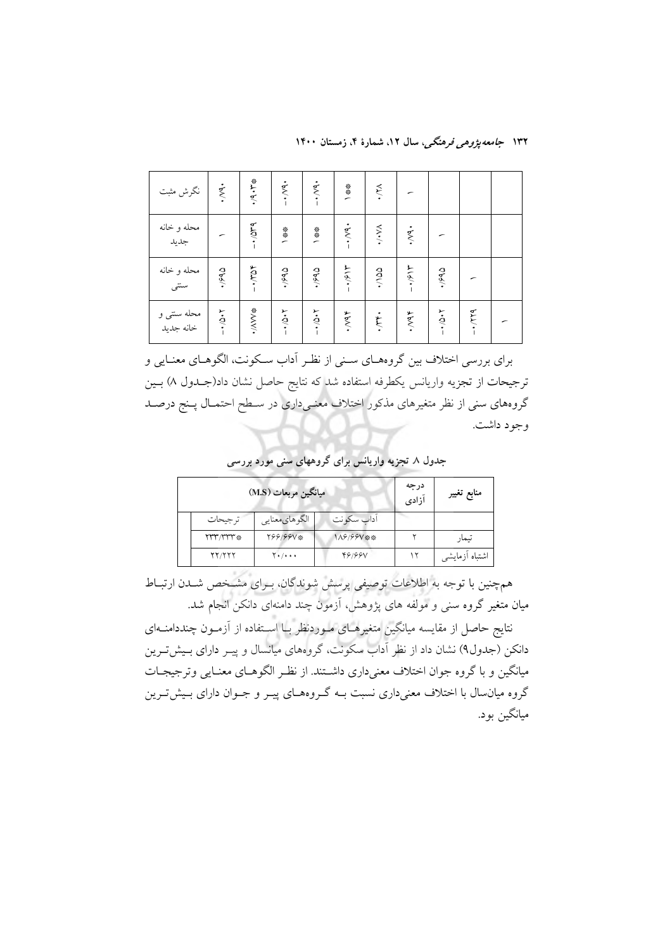۱۳۲ *جامعه پژوه<sub>ی</sub> فرهنگی،* سال ۱۲، شمارهٔ ۴، زمستان ۱۴۰۰

| محله سنتی و<br>خانه جدید | محله و خانه<br>سنتبی | محله و خانه<br>جديد         | نگرش مثبت           |
|--------------------------|----------------------|-----------------------------|---------------------|
| $-1.01 -$                | $\cdot$ /۶۹۵         |                             | $\cdot$ /Y9.        |
| $\ast$ MN/ $\ast$        | $-1.704$             | $-404$                      | ※ケージ                |
| $7.0/1 -$                | 6637                 | $*$                         | $\cdot$ , $\vee$ 9. |
| $7.0/-$                  | 6637                 | →参考                         | $\cdot$ , $\vee$ 9. |
| 464.                     | $-1/914$             | $-3.04.$                    | 一条条                 |
| $\cdot$ , $\gamma$       | $\frac{3}{2}$        | $\lambda, \lambda, \lambda$ | $\lambda$           |
| 46M                      | 415.                 | $\cdot$ /2.                 |                     |
| $7.0/1 -$                | $\frac{1}{2}$        |                             |                     |
| $-1.779$                 |                      |                             |                     |
|                          |                      |                             |                     |

برای بررسی اختلاف بین گروههای سنی از نظر آداب سکونت، الگوهـای معنـایی و ترجیحات از تجزیه واریانس یکطرفه استفاده شد که نتایج حاصل نشان داد(جــدول ۸) بــین گروههای سنی از نظر متغیرهای مذکور اختلاف معنـیداری در سـطح احتمـال پـنج درصـد وجود داشت.

جدول ۸ تجزیه واریانس برای گروههای سنی مورد بررسی

|               | میانگین مربعات (M.S) |            | درجه<br>آزادى | منابع تغيير    |
|---------------|----------------------|------------|---------------|----------------|
| تر جيحات      | الگوهایمعنایی        | اداب سکونت |               |                |
| $\gamma$      | Y99199V*             | 1A9/99V ※※ |               | تيمار          |
| <b>YY/YYY</b> | $Y*/***$             | 49199V     |               | اشتباه أزمايشي |

همچنین با توجه به اطلاعات توصیفی پرسش شوندگان، بـرای مشـخص شـدن ارتبـاط میان متغیر گروه سنی و مولفه های پژوهش، آزمون چند دامنهای دانکن انجام شد.

نتایج حاصل از مقایسه میانگین متغیرهــای مــوردنظر بــا اســتفاده از آزمــون چنددامنــهای دانکن (جدول۹) نشان داد از نظر آداب سکونت، گروههای میانسال و پیـر دارای بـیشتـرین میانگین و با گروه جوان اختلاف معنیداری داشتند. از نظر الگوهـای معنـایی وترجیجـات گروه میانسال با اختلاف معنیداری نسبت بـه گـروههـای پیـر و جـوان دارای بـیش5تـرین ميانگين بود.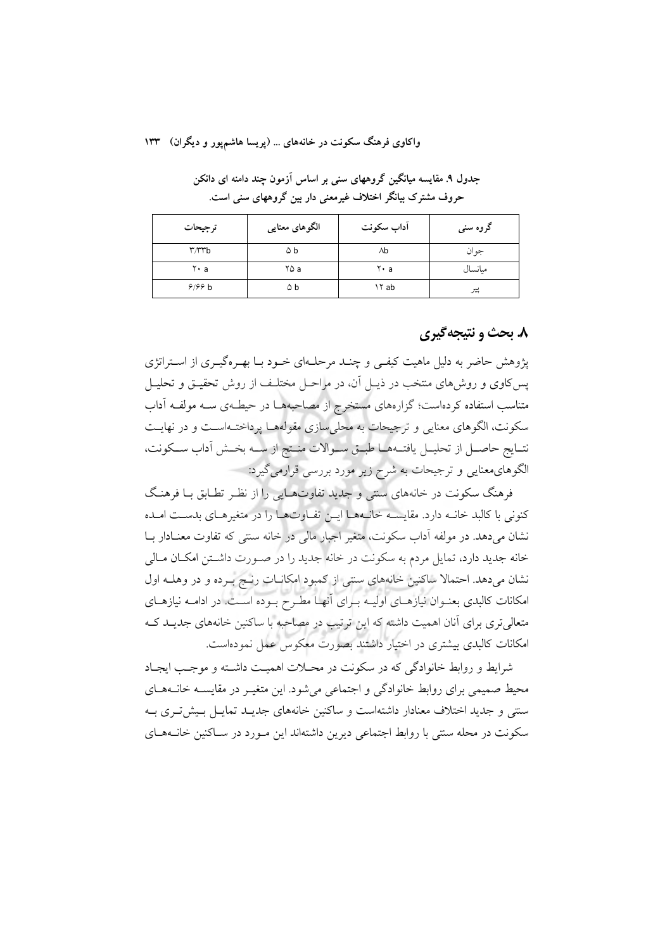واکاوی فرهنگ سکونت در خانههای ... (پریسا هاشم یور و دیگران) ۱۳۳

جدول ۹. مقایسه میانگین گروههای سنی بر اساس آزمون چند دامنه ای دانکن حروف مشترک بیانگر اختلاف غیرمعنی دار بین گروههای سنی است.

| ترجيحات                       | الگوهای معنایی | أداب سكونت | گروه سنی |
|-------------------------------|----------------|------------|----------|
| $\mathbf{r}$ / $\mathbf{r}$ b | ۵b             | ٨b         | جوان     |
| ۲۰a                           | ۲۵ a           | ۲۰a        | ميانسال  |
| 9/99 b                        | ۵b             | ۱۲ ab      | پير      |

### ۸. بحث و نتیجهگیری

پژوهش حاضر به دلیل ماهیت کیفـی و چنـد مرحلـهای خـود بـا بهـرهگیـری از اسـتراتژی پس کاوی و روشهای منتخب در ذیـل آن، در مراحـل مختلـف از روش تحقیـق و تحلیـل متناسب استفاده کردهاست؛ گزارههای مستخرج از مصاحبههـا در حیطـهی ســه مولفــه آداب سکونت، الگوهای معنایی و ترجیحات به محلی سازی مقولههـا پرداختـهاسـت و در نهایـت نتـايج حاصـل از تحليـل يافتــههـا طبــق ســوالات منــتج از ســه بخــش أداب ســكونت، الگوهای معنایی و ترجیحات به شرح زیر مورد بررسی قرارمی گیرد:

فرهنگ سکونت در خانههای سنتی و جدید تفاوتهـایی را از نظـر تطـابق بـا فرهنـگ كنوني با كالبد خانــه دارد. مقايســه خانــههــا ايــن تفــاوتهــا را در متغيرهــاي بدســت امــده نشان میدهد. در مولفه آداب سکونت، متغیر اجبار مالی در خانه سنتی که تفاوت معنـادار بــا خانه جدید دارد، تمایل مردم به سکونت در خانه جدید را در صورت داشتن امکان مالی نشان میدهد. احتمالا ساکنین خانههای سنتی از کمبود امکانــات رنــج بــرده و در وهلــه اول امکانات کالبدی بعنـوان نیازهـای اولیـه بـرای آنهـا مطـرح بـوده اسـت. در ادامــه نیازهـای متعالی تری برای آنان اهمیت داشته که این ترتیب در مصاحبه با ساکنین خانههای جدیـد کـه امکانات کالبدی بیشتری در اختیار داشتند بصورت معکوس عمل نمودهاست.

شرابط و روابط خانوادگی که در سکونت در محیلات اهمیت داشته و موجب ایجیاد محیط صمیمی برای روابط خانوادگی و اجتماعی میشود. این متغیـر در مقایســه خانــههــای سنتی و جدید اختلاف معنادار داشتهاست و ساکنین خانههای جدیــد تمایــل بـیش تــری بــه سکونت در محله سنتی با روابط اجتماعی دیرین داشتهاند این مـورد در سـاکنین خانـههـای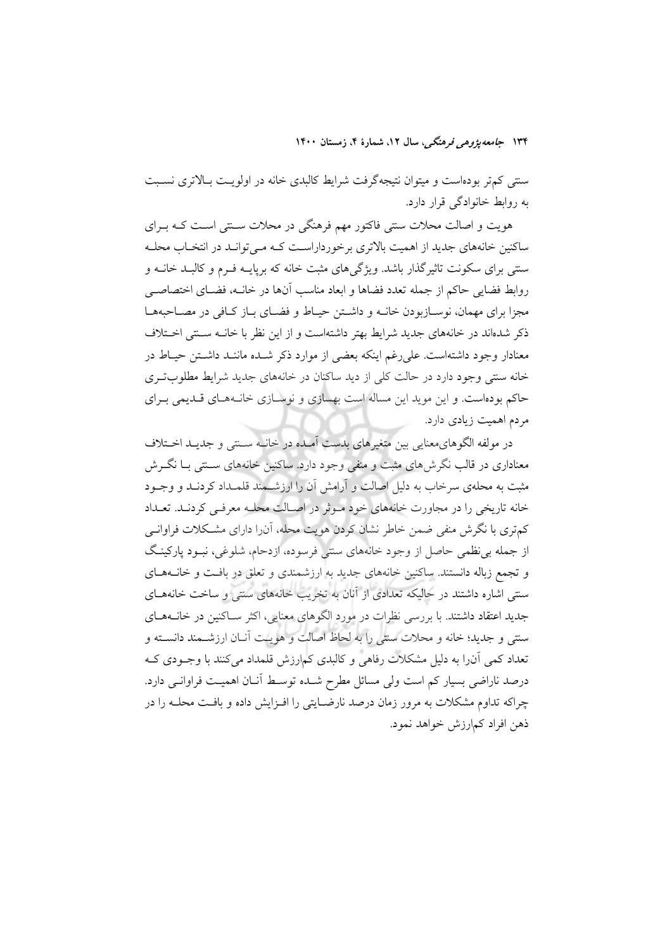ستتی کمتر بودهاست و میتوان نتیجهگرفت شرایط کالبدی خانه در اولویـت بـالاتری نسـبت به روابط خانوادگی قرار دارد.

هویت و اصالت محلات سنتی فاکتور مهم فرهنگی در محلات سـنتی اسـت کـه بـرای ساکنین خانههای جدید از اهمیت بالاتری برخورداراست کـه مـی توانـد در انتخـاب محلـه سنتی برای سکونت تاثیرگذار باشد. ویژگیهای مثبت خانه که برپایــه فــرم و کالبــد خانــه و روابط فضايي حاكم از جمله تعدد فضاها و ابعاد مناسب آنها در خانــه، فضــاي اختصاصــي مجزا برای مهمان، نوسـازبودن خانــه و داشــتن حیــاط و فضــای بــاز کــافی در مصــاحبههــا ذکر شدهاند در خانههای جدید شرایط بهتر داشتهاست و از این نظر با خانـه سـنتی اخـتلاف معنادار وجود داشتهاست. على رغم اينكه بعضي از موارد ذكر شـده ماننـد داشـتن حيـاط در خانه سنتی وجود دارد در حالت کلی از دید ساکنان در خانههای جدید شرایط مطلوبت ی حاکم بودهاست. و این موید این مساله است بهسازی و نوسازی خانـههـای قـدیمی بـرای مردم اهمیت زیادی دارد.

در مولفه الگوهاي،معنايي بين متغيرهاي بدست آمـده در خانــه ســنتي و جديـد اخـتلاف معناداری در قالب نگرشهای مثبت و منفی وجود دارد. ساکنین خانههای سـنتی بـا نگــرش مثبت به محلهی سرخاب به دلیل اصالت و آرامش آن را ارزشــمند قلمــداد کردنــد و وجــود خانه تاریخی را در مجاورت خانههای خود موثر در اصالت محلـه معرفـی کردنـد. تعـداد کمتری با نگرش منفی ضمن خاطر نشان کردن هویت محله، آن(ا دارای مشکلات فراوانـی از جمله بی نظمی حاصل از وجود خانههای سنتی فرسوده، ازدحام، شلوغی، نبـود پارکینـگ و تجمع زباله دانستند. ساکنین خانههای جدید به ارزشمندی و تعلق در بافت و خانـههـای سنتی اشاره داشتند در حالیکه تعدادی از آنان به تخریب خانههای سنتی و ساخت خانههـای جدید اعتقاد داشتند. با بررسی نظرات در مورد الگوهای معنایی، اکثر سـاکنین در خانــههــای سنتمي و جديد؛ خانه و محلات سنتي را به لحاظ اصالت و هويـت آنــان ارزشــمند دانســته و تعداد کمی آنرا به دلیل مشکلات رفاهی و کالبدی کمارزش قلمداد می کنند با وجـودی کـه درصد ناراضی بسیار کم است ولی مسائل مطرح شـده توسـط آنـان اهمیـت فراوانـی دارد. چراکه تداوم مشکلات به مرور زمان درصد نارضـایتی را افـزایش داده و بافـت محلـه را در ذهن افراد كمارزش خواهد نمود.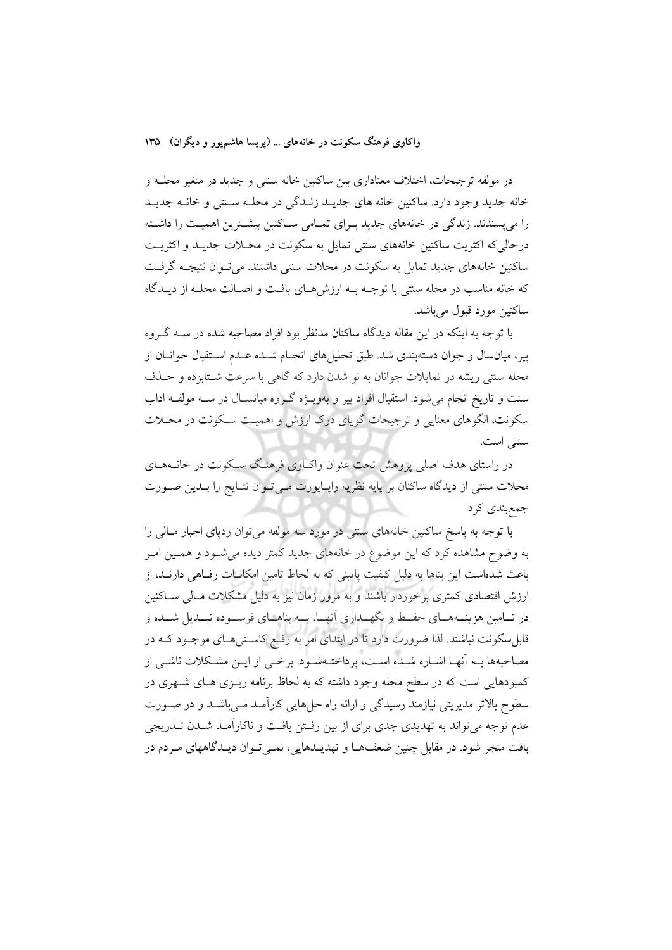واکاوی فرهنگ سکونت در خانههای … (پریسا هاشمپور و دیگران) ۱۳۵

در مولفه ترجیحات، اختلاف معناداری بین ساکنین خانه سنتی و جدید در متغیر محلـه و خانه جدید وجود دارد. ساکنین خانه های جدیـد زنـدگی در محلـه سـتتی و خانـه جدیـد را میپسندند. زندگی در خانههای جدید بـرای تمـامی سـاکنین بیشـترین اهمیـت را داشـته درحالي كه اكثريت ساكنين خانههاي سنتي تمايل به سكونت در محـلات جديـد و اكثريـت ساکنین خانههای جدید تمایل به سکونت در محلات سنتی داشتند. می تـوان نتیجـه گرفـت که خانه مناسب در محله سنتی با توجــه بــه ارزش۵حای بافــت و اصــالت محلــه از دیــدگاه ساکنين مورد قبول مي باشد.

با توجه به اینکه در این مقاله دیدگاه ساکنان مدنظر بود افراد مصاحبه شده در ســه گــروه پیر، میانسال و جوان دستهبندی شد. طبق تحلیل های انجـام شـده عـدم اسـتقبال جوانــان از محله سنتی ریشه در تمایلات جوانان به نو شدن دارد که گاهی با سرعت شـتابزده و حــذف سنت و تاریخ انجام می شود. استقبال افراد پیر و بهویـژه گـروه میانسـال در سـه مولفـه اداب سکونت، الگوهای معنایی و ترجیحات گویای درک ارزش و اهمیت سـکونت در محــلات سنتي است.

در راستای هدف اصلی پژوهش تحت عنوان واکـاوی فرهنـگ سـکونت در خانــههـای محلات سنتي از ديدگاه ساكنان بر پايه نظريه رايـاپورت مـي تـوان نتـايج را بـدين صـورت جمع بندي کر د

با توجه به پاسخ ساکنین خانههای سنتی در مورد سه مولفه می توان ردپای اجبار مـالی را به وضوح مشاهده کرد که این موضوع در خانههای جدید کمتر دیده میشود و همـین امـر باعث شدهاست این بناها به دلیل کیفیت پایینی که به لحاظ تامین امکانــات رفــاهی دارنــد، از ارزش اقتصادی کمتری برخوردار باشند و به مرور زمان نیز به دلیل مشکلات مـالی سـاکنین در تــامین هزینــههــای حفــظ و نگهــداری آنهــا، بــه بناهــای فرســوده تبــدیل شــده و قابل سکونت نباشند. لذا ضرورت دارد تا در ابتدای امر به رفع کاستی هـای موجـود کــه در مصاحبهها بـه آنهـا اشـاره شـده اسـت، يرداختـهشـود. برخـي از ايــن مشـكلات ناشــي از کمبودهایی است که در سطح محله وجود داشته که به لحاظ برنامه ریــزی هــای شــهری در سطوح بالاتر مدیریتی نیازمند رسیدگی و ارائه راه حلهایی کارآمـد مـیباشـد و در صـورت عدم توجه می تواند به تهدیدی جدی برای از بین رفـتن بافـت و ناکارآمـد شـدن تــدریجی بافت منجر شود. در مقابل چنین ضعفهــا و تهدیــدهایی، نمــی تــوان دیــدگاههای مــردم در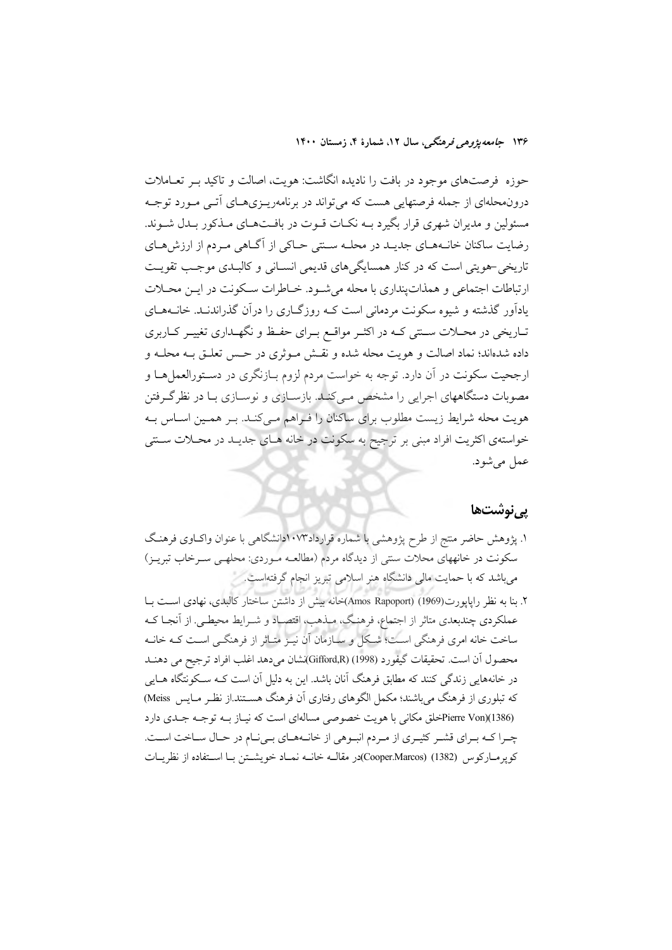حوزه فرصتهای موجود در بافت را نادیده انگاشت: هویت، اصالت و تاکید بـر تعـاملات درونهحلهای از جمله فرصتهایی هست که می تواند در برنامهریـزیهـای آتـی مـورد توجـه مسئولین و مدیران شهری قرار بگیرد بـه نکـات قــوت در بافــتهــای مــذکور بــدل شــوند. رضایت ساکنان خانـههـای جدیـد در محلـه سـنتی حـاکی از آگـاهی مـردم از ارزشهـای تاریخی حمویتی است که در کنار همسایگی های قدیمی انسـانی و کالبـدی موجـب تقویـت ارتباطات اجتماعی و همذات ینداری با محله می شـود. خـاطرات سـكونت در ایـن محـلات یادآور گذشته و شیوه سکونت مردمانی است کـه روزگـاری را درآن گذراندنـد. خانــههـای تـاریخی در محـلات سـنتی کـه در اکثـر مواقـع بـرای حفـظ و نگهـداری تغییـر کـاربری داده شدهاند؛ نماد اصالت و هويت محله شده و نقـش مـوثري در حـس تعلـق بــه محلــه و ارجحیت سکونت در آن دارد. توجه به خواست مردم لزوم بـازنگری در دسـتورالعمل هـا و مصوبات دستگاههای اجرایی را مشخص مـیکنـد. بازسـازی و نوسـازی بـا در نظرگـرفتن هویت محله شرایط زیست مطلوب برای ساکنان را فـراهم مـی کنـد. بـر همـین اسـاس بـه خواستهی اکثریت افراد مبنی بر ترجیح به سکونت در خانه هـای جدیـد در محـلات سـنتی عمل مي شود.

#### <u>یے نوشتھا</u>

۱. پژوهش حاضر منتج از طرح پژوهشی با شماره قرارداد۱۰۷۳دانشگاهی با عنوان واکbوی فرهنگ سکونت در خانههای محلات سنتی از دیدگاه مردم (مطالعـه مـوردی: محلهـی سـرخاب تبریـز) میباشد که با حمایت مالی دانشگاه هنر اسلامی تبریز انجام گرفتهاست.

۲. بنا به نظر رایایورت(1969) (Amos Rapoport)خانه بیش از داشتن ساختار کالبدی، نهادی است بـا عملکردی چندبعدی متاثر از اجتماع، فرهنگ، مبذهب، اقتصـاد و شــرايط محيطــي. از آنجـا کــه ساخت خانه امری فرهنگی است؛ شکل و سازمان آن نیـز متـاثر از فرهنگـی اسـت کـه خانـه محصول أن است. تحقيقات گيفورد (1998) (Gifford,R)شان مي دهد اغلب افراد ترجيح مي دهنــد در خانههایی زندگی کنند که مطابق فرهنگ آنان باشد. این به دلیل آن است کـه سـکونتگاه هــایی که تبلوری از فرهنگ می باشند؛ مکمل الگوهای رفتاری آن فرهنگ هســتند.از نظـر مــایس Meiss) Pierre Von)(1386)خلق مکانی با هویت خصوصی مسالهای است که نیاز بـه توجـه جـلـی دارد چـرا كـه بـراي قشـر كثيـري از مـردم انبـوهي از خانـههـاي بـي نـام در حـال سـاخت اسـت. كويرمـاركوس (1382) (Cooper.Marcos)در مقالــه خانــه نمــاد خويشــتن بــا اســتفاده از نظريــات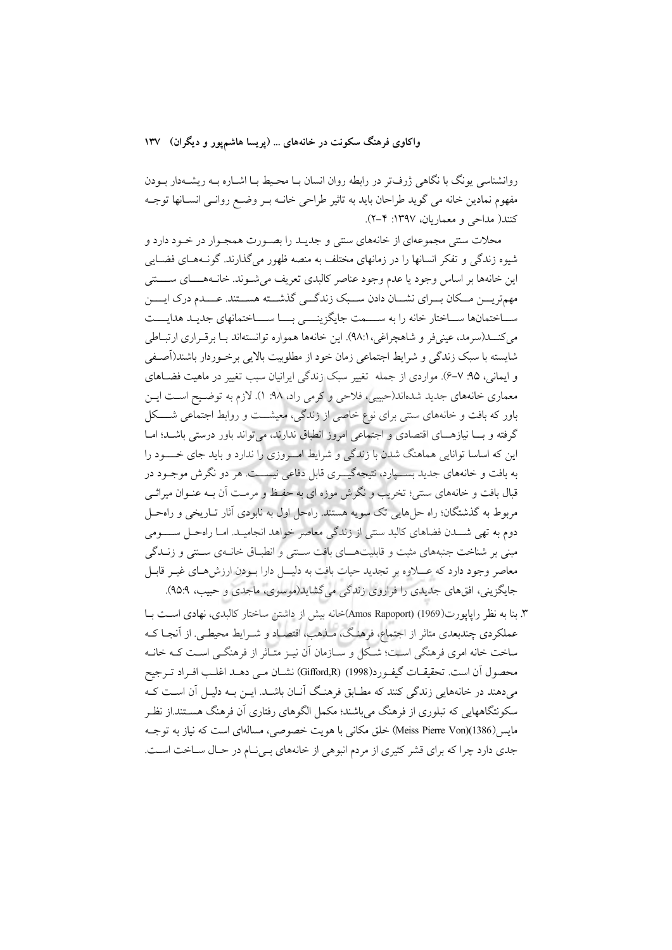روانشناسی یونگ با نگاهی ژرفتر در رابطه روان انسان بـا محـیط بـا اشــاره بــه ریشــهدار بــودن مفهوم نمادین خانه می گوید طراحان باید به تاثیر طراحی خانــه بــر وضــع روانــی انســانها توجــه كنند( مداحى و معماريان، ١٣٩٧: ٢-٢).

محلات سنتي مجموعهاي از خانههاي سنتي و جديـد را بصـورت همجـوار در خـود دارد و شیوه زندگی و تفکر انسانها را در زمانهای مختلف به منصه ظهور میگذارند. گونـههـای فضـایی این خانهها بر اساس وجود یا عدم وجود عناصر کالبدی تعریف می شوند. خانـههـــای ســــتتی مهمتریـــن مـــكان بـــراي نشـــان دادن ســـبك زندگـــي گذشـــته هســـتند. عــــدم درك ايـــــن سـاختمانها سـاختار خانه را به ســـمت جايگزينـــي بـــا ســـاختمانهاي جديـد هدايـــت مي كنــــد(سرمد، عيني فر و شاهچراغي، ٩٨:١). اين خانهها همواره توانستهاند بــا برقــراري ارتبــاطي شايسته با سبک زندگي و شرايط اجتماعي زمان خود از مطلوبيت بالايي برخـوردار باشند(آصـفي و ایمانی، ۹۵: ۷–۶). مواردی از جمله تغییر سبک زندگی ایرانیان سبب تغییر در ماهیت فضـاهای معماری خانههای جدید شدهاند(حبیبی، فلاحی و کرمی راد، ۹۸: ۱). لازم به توضـیح اسـت ایــن باور که بافت و خانههای سنتی برای نوع خاصی از زندگی، معیشت و روابط اجتماعی شکل گرفته و بسا نیازهسای اقتصادی و اجتماعی امروز انطباق ندارند، می تواند باور درستی باشد؛ امبا این که اساسا توانایی هماهنگ شدن با زندگی و شرایط امروزی را ندارد و باید جای خسود را به بافت و خانههای جدید بســپارد، نتیجهگیـــری قابل دفاعی نیســـت هر دو نگرش موجــود در قبال بافت و خانههای سنتی؛ تخریب و نگرش موزه ای به حفـظ و مرمـت آن بــه عنــوان میراثــی مربوط به گذشتگان؛ راه حلهایی تک سویه هستند. راهحل اول به نابودی آثار تـاریخی و راهحـل دوم به تهی شـــدن فضاهای کالبد سنتی از زندگی معاصر خواهد انجامیــد. امـا راهحــل ســـــومی مبنی بر شناخت جنبههای مثبت و قابلیتهــای بافت سـتنی و انطبـاق خانـهی سـتنی و زنــدگی معاصر وجود دارد که عـــلاوه بر تجدید حیات بافت به دلیـــل دارا بــودن ارزشهــای غیــر قابــل جایگزینی، افقهای جدیدی را فراروی زندگی می گشاید(موسوی، ماجدی و حبیب، ۹۵:۹).

۳. بنا به نظر رایایورت(1969) (Amos Rapoport)خانه بیش از داشتن ساختار کالبدی، نهادی است بـا عملکردی چندبعدی متاثر از اجتماع، فرهنگ، مـذهب، اقتصـاد و شــرايط محيطــي. از آنجـا کــه ساخت خانه امری فرهنگی است؛ شکل و سـازمان آن نیـز متـاثر از فرهنگـی اسـت کـه خانـه محصول أن است. تحقيقــات گيفــورد(1998) (Gifford,R) نشــان مــي دهــد اغلــب افــراد تــرجيح میدهند در خانههایی زندگی کنند که مطـابق فرهنـگ آنــان باشــد. ایــن بــه دلیــل آن اســت کــه سکونتگاههایی که تبلوری از فرهنگ می باشند؛ مکمل الگوهای رفتاری آن فرهنگ هسـتند.از نظـر مايس(1386)(Meiss Pierre Von) خلق مكاني با هويت خصوصي، مسالهاي است كه نياز به توجـه جدی دارد چرا که برای قشر کثیری از مردم انبوهی از خانههای بلی ام در حال ساخت است.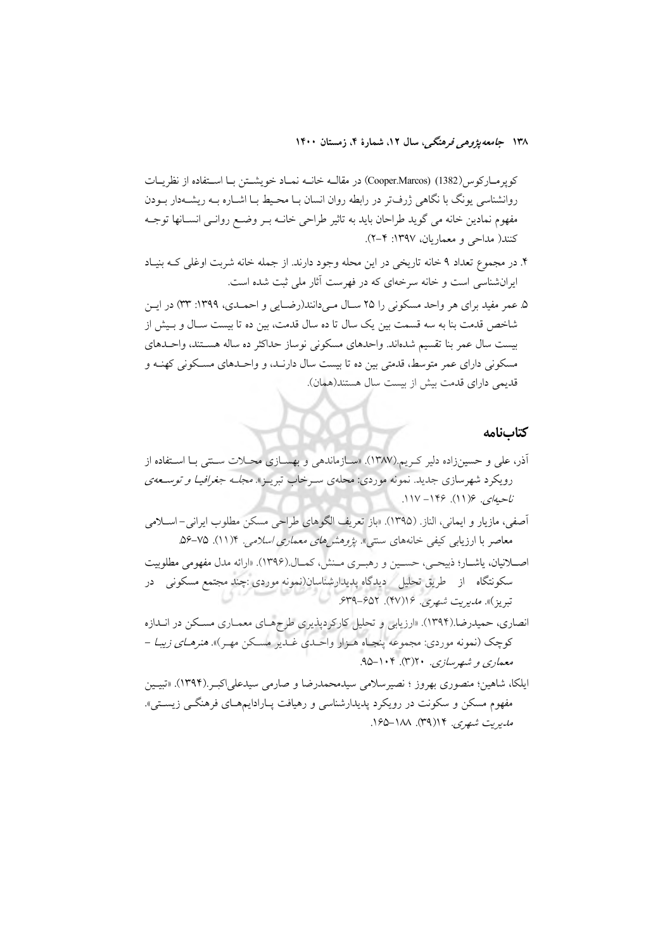كوير مباركوس (Cooper.Marcos) (1382) در مقاليه خانيه نمباد خويشتن ببا استفاده از نظريبات روانشناسی یونگ با نگاهی ژرفتر در رابطه روان انسان بـا محـیط بـا اشــاره بــه ریشــهدار بــودن مفهوم نمادین خانه می گوید طراحان باید به تاثیر طراحی خانــه بــر وضــع روانــی انســانها توجــه کنند( مداحی و معماریان، ۱۳۹۷: ۲–۲).

- ۴. در مجموع تعداد ۹ خانه تاریخی در این محله وجود دارند. از جمله خانه شربت اوغلی کـه بنیـاد ایرانشناسی است و خانه سرخهای که در فهرست آثار ملی ثبت شده است.
- ۵. عمر مفيد براي هر واحد مسكوني را ۲۵ سـال مـي دانند(رضـايي و احمـدي، ۱۳۹۹: ۳۳) در ايـن شاخص قدمت بنا به سه قسمت بین یک سال تا ده سال قدمت، بین ده تا بیست سـال و بـیش از بيست سال عمر بنا تقسيم شدهاند. واحدهاى مسكونى نوساز حداكثر ده ساله هستند، واحدهاى مسکونی دارای عمر متوسط، قدمتی بین ده تا بیست سال دارنـد، و واحـدهای مسـکونی کهنـه و قديمي داراي قدمت بيش از بيست سال هستند(همان).

#### كتابنامه

- أذر، علی و حسینزاده دلیر کـریم.(۱۳۸۷). «سـازماندهی و بهسـازی محــلات ســنتی بــا اســتفاده از رویکرد شهرسازی جدید. نمونه موردی: محلهی سـرخاب تبریـز». *مجلـه جغرافیـا و توسـعهی*  $11V-149.$   $(11)$   $(242V$ آصفي، مازيار و ايماني، الناز. (١٣٩۵). «باز تعريف الگوهاي طراحي مسكن مطلوب ايراني-اسلامي معاصر با ارزیابی کیفی خانههای سنتی». *پژوهشهای معماری اسلامی*. ۱۱/۴). ۷۵-۵۶. اصلانیان، یاشار؛ ذبیحی، حسین و رهبری مـنش، کمـال.(۱۳۹۶). «ارائه مدل مفهومی مطلوبیت سکونتگاه از طریق تحلیل دیدگاه پدیدارشناسان(نمونه موردی :چند مجتمع مسکونی در تبریز)». *مدیریت شهری.* ۱۶(۴۷). ۶۵۲–۶۳۹. انصاری، حمیدرضا.(۱۳۹۴). «ارزیابی و تحلیل کارکردیذیری طرحهـای معمـاری مسـکن در انـدازه کوچک (نمونه موردي: مجموعه پنجـاه هـزار واحـدي غـدير مسـکن مهـر)». *هنرهـاي زيبـا –* معماري و شهرسازي. ۲۰(۴). ۱۰۴–۹۵. ایلکا، شاهین؛ منصوری بهروز ؛ نصیرسلامی سیدمحمدرضا و صارمی سیدعلی|کبـر (۱۳۹۴). «تبیـین
- مفهوم مسکن و سکونت در رویکرد پدیدارشناسی و رهیافت پـارادایمهـای فرهنگــی زیســتی». مدیریت شبھری. ۱۴(۳۹). ۱۸۸–۱۶۵.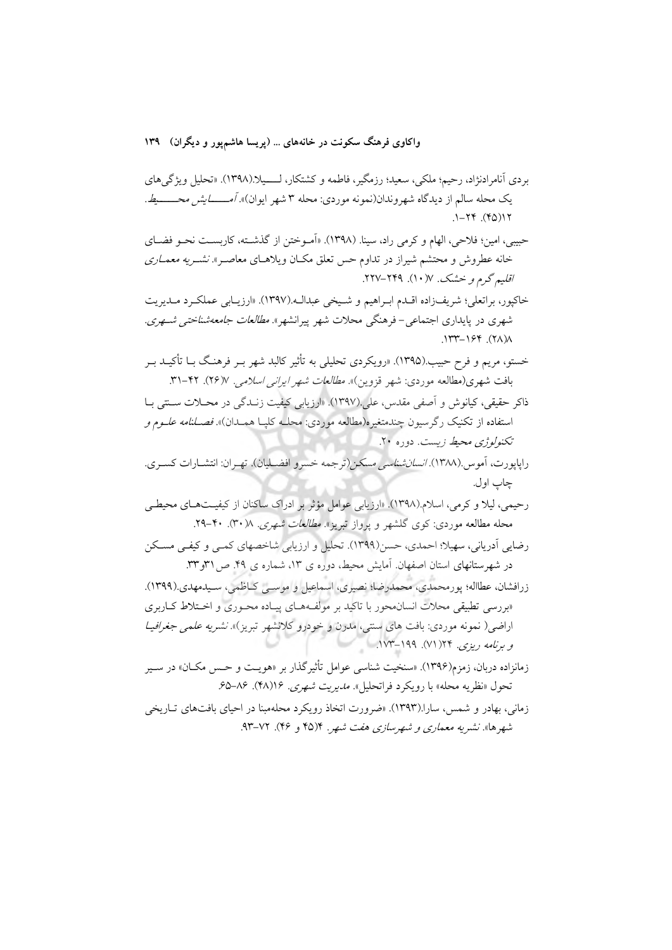بردي آنام ادنژاد، رحيم؛ ملكي، سعيد؛ رزمگير، فاطمه و كشتكار، لـــــبلا.(١٣٩٨). «تحليل ويژگي هاي یک محله سالم از دیدگاه شهروندان(نمونه موردی: محله ۳ شهر ایوان)»*. آمـــــــــایش محـــــــــط.*  $1 - YY (6)Y$ 

حبيبي، امين؛ فلاحي، الهام و كرمي راد، سينا. (١٣٩٨). «أمـوختن از گذشـته، كاربسـت نحـو فضـاي خانه عطروش و محتشم شیراز در تداوم حس تعلق مکان ویلاهـای معاصـر». *نشـریه معمـاری* اقلیم گرم و خشک. ۱۷(۱۰). ۲۲۹–۲۲۷.

خاكيور، براتعلي؛ شريفزاده اقــدم ابــراهيم و شــيخي عبدالــه.(١٣٩٧). «ارزيــابي عملكــرد مــديريت شهری در پایداری اجتماعی-فرهنگی محلات شهر پیرانشهر». *مطالعات جامعهشناختی شـهری*.  $\Lambda(XY)$ ,  $\gamma$   $\gamma$   $\gamma$ 

خستو، مریم و فرح حبیب.(۱۳۹۵). «رویکردی تحلیلی به تأثیر کالبد شهر بـر فرهنـگ بـا تأکیــد بــر بافت شهری(مطالعه موردی: شهر قزوین)». *مطالعات شهر ایرانی اسلامی.* ۷(۲۶). ۴۲-۳۱.

ذاکر حقیقی، کیانوش و اَصفی مقدس، علی.(۱۳۹۷). «ارزیابی کیفیت زنـدگی در محــلات ســنتی بــا استفاده از تکنیک رگرسیون چندمتغیره(مطالعه موردی: محلــه کلپــا همــدان)». *فصــلنامه علــوم و* تكنولوژي محيط زيست. دوره ٢٠.

- د اپایو دت، آموس .(۱۳۸۸). *انسان شناسی مسکن (*تر جمه خسرو افضــلبان). تهـران: انتشــارات کســری. چاب اول.
- رحیمی، لیلا و کرمی، اسلام.(۱۳۹۸). «ارزیابی عوامل مؤثر بر ادراک ساکنان از کیفیـتهـای محیطـی محله مطالعه موردی: کوی گلشهر و پرواز تبریز». *مطالعات شهری*. ۰(۳۰). ۴۰-۲۹.

رضایی آدریانی، سهیلا؛ احمدی، حسن(۱۳۹۹). تحلیل و ارزیابی شاخصهای کمـی و کیفـی مسـکن در شهرستانهای استان اصفهان. آمایش محیط، دوره ی ۱۳، شماره ی ۴۹. ص ۳۱و ۳۳.

زرافشان، عطااله؛ پورمحمدي، محمدرضا؛ نصيري، اسماعيل و موســي كـاظمى، سـيدمهدي.(١٣٩٩). «بررسی تطبیقی محلات انسان.محور با تاکید بر مولفههـای پیـاده محـوری و اخــتلاط کــاربری اراضی( نمونه موردی: بافت های سنتی، مدرن و خودرو کلانشهر تبریز)». *نشریه علمی جغرافیـا* و برنامه ریزی. ۲۴( ۷۱). ۱۷۹-۱۷۳.

- زمانزاده دربان، زمزم(۱۳۹۶). «سنخيت شناسي عوامل تأثير گذار بر «هويـت و حـس مكــان» در ســير تحول «نظريه محله» با رويكرد فراتحليل». *مديريت شهري. ۱۶*(۴۸). ۸۶–۶۵.
- زماني، بهادر و شمس، سارا.(۱۳۹۳). «ضرورت اتخاذ رويكرد محلهمبنا در احياي بافتهاي تـاريخي شهرها». نشیریه معم*اری و شهرسازی هفت شهر*. ۱۴۵۴ و ۴۶). ۷۲–۹۳.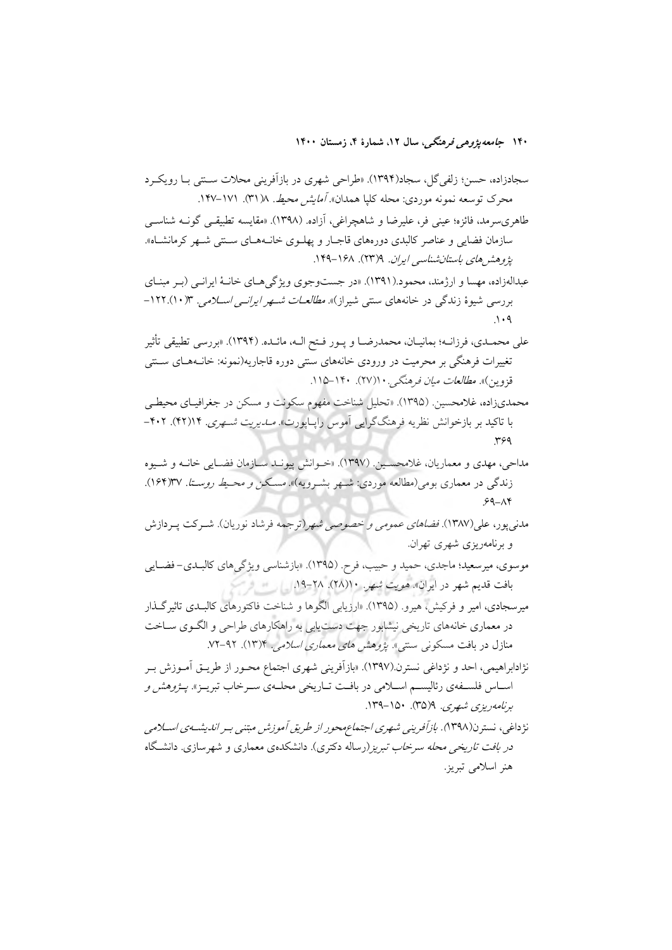۱۴۰ ج*امعه پژوه<sub>ی</sub> فرهنگی،* سال ۱۲، شمارهٔ ۴، زمستان ۱۴۰۰

- طاهریسرمد، فائزه؛ عینی فر، علیرضا و شاهچراغی، آزاده. (۱۳۹۸). «مقایسه تطبیقـی گونــه شناســی سازمان فضایی و عناصر کالبدی دورههای قاجـار و پهلـوی خانـههـای سـنتی شـهر کرمانشـاه». پژوهش های باستان شناسی ایران. ۱۳۳۹). ۱۴۸-۱۴۹.
- عبدالهزاده، مهسا و ارژمند، محمود.(۱۳۹۱). «در جست وجوی ویژگی هـای خانـهٔ ایرانـی (بـر مینـای بررسی شیوهٔ زندگی در خانههای سنتی شیراز)». *مطالعـات شـهر ایرانـی اسـلامی*. ۱۲۲.(۱۰).
- على محمــدي، فرزانــه؛ بمانيــان، محمدرضــا و يــور فــتح الــه، مائــده. (١٣٩۴). «بررسي تطبيقي تأثير تغییرات فرهنگی بر محرمیت در ورودی خانههای سنتی دوره قاجاریه(نمونه: خانــههــای ســنتی قزوین)». *مطالعات میان فرهنگی. ۱*۱(۲۷). ۱۴۰–۱۱۵.
- محمدیزاده، غلامحسین. (۱۳۹۵). «تحلیل شناخت مفهوم سکونت و مسکن در جغرافیـای محیطـی با تاکید بر بازخوانش نظریه فرهنگگرایی آموس راپاپورت». *مــاریت شــهری*. ۱۴(۴۲). ۴۰۲–  $Y^{\varphi}$
- مداحي، مهدي و معماريان، غلامحسين (١٣٩٧). «خيوانش پيونيد سيازمان فضيايي خانيه و شيوه زندگی در معماری بومی(مطالعه موردی: شـهر بشـرویه)». مسـکن *و محـیط روسـتا. ۱۶*۴)۳۷).  $99 - \Lambda$ ۴
- مدنی پور، علی(۱۳۸۷). *فضاهای عمومی و خصوصی شه*ر(ترجمه فرشاد نوریان). شـرکت پـردازش و برنامەریزی شهری تهران.
- موسوي، ميرسعيد؛ ماجدي، حميد و حبيب، فرح. (١٣٩۵). «بازشناسي ويژگيهاي كالبـدي- فضـايي بافت قدیم شهر در ایران*». هویت شه*ر. ۱۰(۲۸). ۲۸–۱۹.
- میرسجادی، امیر و فرکیش، هیرو. (۱۳۹۵). «ارزیابی الگوها و شناخت فاکتورهای کالبلدی تاثیرگذار در معماری خانههای تاریخی نیشابور جهت دست یابی به راهکارهای طراحی و الگـوی سـاخت منازل در بافت مسکونی سنتی». *یژوهش های معماری اسلامی*. ۱۳/۴). ۹۲–۷۲.
- نژادابراهیمی، احد و نژداغی نسترن.(۱۳۹۷). «بازآفرینی شهری اجتماع محـور از طریــق آمــوزش بــر اسـاس فلسـفهي رئاليسـم اسـلامي در بافـت تـاريخي محلـهي سـرخاب تبريـز». *يــژوهش و*  $(100 - 10)$ برنامەدېزى شەرى. 9(۳۵). ۱۵۰–۱۳۹.
- نژداغی، نسترن(۱۳۹۸). *بازآفرینی شهری اجتماعهحور از طریق آموزش مبتنی بـر اندیشـهی اس*ـلا*می در بافت تاریخی محله سرخاب تبریز (*رساله دکتری). دانشکدهی معماری و شهرسازی. دانشگاه هنر اسلامی تبریز.